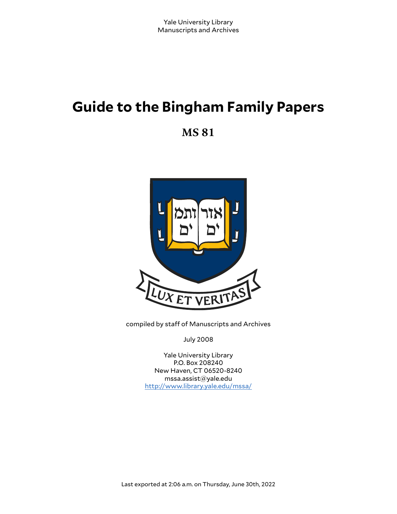# **Guide to the Bingham Family Papers**

**MS 81**



compiled by staff of Manuscripts and Archives

July 2008

Yale University Library P.O. Box 208240 New Haven, CT 06520-8240 mssa.assist@yale.edu <http://www.library.yale.edu/mssa/>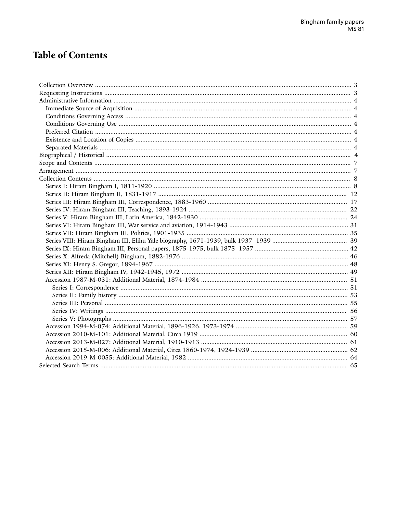# **Table of Contents**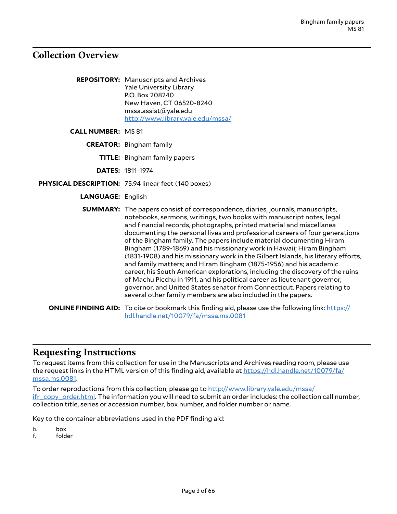### <span id="page-2-0"></span>**Collection Overview**

**REPOSITORY:** Manuscripts and Archives Yale University Library P.O. Box 208240 New Haven, CT 06520-8240 mssa.assist@yale.edu <http://www.library.yale.edu/mssa/>

**CALL NUMBER:** MS 81

**CREATOR:** Bingham family

**TITLE:** Bingham family papers

**DATES:** 1811-1974

**PHYSICAL DESCRIPTION:** 75.94 linear feet (140 boxes)

**LANGUAGE:** English

**SUMMARY:** The papers consist of correspondence, diaries, journals, manuscripts, notebooks, sermons, writings, two books with manuscript notes, legal and financial records, photographs, printed material and miscellanea documenting the personal lives and professional careers of four generations of the Bingham family. The papers include material documenting Hiram Bingham (1789-1869) and his missionary work in Hawaii; Hiram Bingham (1831-1908) and his missionary work in the Gilbert Islands, his literary efforts, and family matters; and Hiram Bingham (1875-1956) and his academic career, his South American explorations, including the discovery of the ruins of Machu Picchu in 1911, and his political career as lieutenant governor, governor, and United States senator from Connecticut. Papers relating to several other family members are also included in the papers.

**ONLINE FINDING AID:** To cite or bookmark this finding aid, please use the following link: [https://](https://hdl.handle.net/10079/fa/mssa.ms.0081) [hdl.handle.net/10079/fa/mssa.ms.0081](https://hdl.handle.net/10079/fa/mssa.ms.0081)

### <span id="page-2-1"></span>**Requesting Instructions**

To request items from this collection for use in the Manuscripts and Archives reading room, please use the request links in the HTML version of this finding aid, available at [https://hdl.handle.net/10079/fa/](https://hdl.handle.net/10079/fa/mssa.ms.0081) [mssa.ms.0081.](https://hdl.handle.net/10079/fa/mssa.ms.0081)

To order reproductions from this collection, please go to [http://www.library.yale.edu/mssa/](http://www.library.yale.edu/mssa/ifr_copy_order.html) [ifr\\_copy\\_order.html.](http://www.library.yale.edu/mssa/ifr_copy_order.html) The information you will need to submit an order includes: the collection call number, collection title, series or accession number, box number, and folder number or name.

Key to the container abbreviations used in the PDF finding aid:

b. box<br>f. fold

folder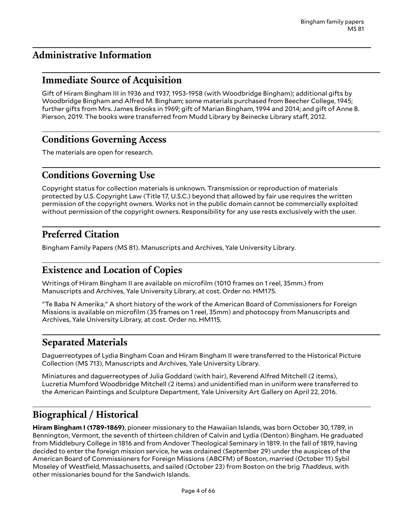# <span id="page-3-0"></span>**Administrative Information**

# <span id="page-3-1"></span>**Immediate Source of Acquisition**

Gift of Hiram Bingham III in 1936 and 1937, 1953-1958 (with Woodbridge Bingham); additional gifts by Woodbridge Bingham and Alfred M. Bingham; some materials purchased from Beecher College, 1945; further gifts from Mrs. James Brooks in 1969; gift of Marian Bingham, 1994 and 2014; and gift of Anne B. Pierson, 2019. The books were transferred from Mudd Library by Beinecke Library staff, 2012.

# <span id="page-3-2"></span>**Conditions Governing Access**

The materials are open for research.

# <span id="page-3-3"></span>**Conditions Governing Use**

Copyright status for collection materials is unknown. Transmission or reproduction of materials protected by U.S. Copyright Law (Title 17, U.S.C.) beyond that allowed by fair use requires the written permission of the copyright owners. Works not in the public domain cannot be commercially exploited without permission of the copyright owners. Responsibility for any use rests exclusively with the user.

# <span id="page-3-4"></span>**Preferred Citation**

Bingham Family Papers (MS 81). Manuscripts and Archives, Yale University Library.

# <span id="page-3-5"></span>**Existence and Location of Copies**

Writings of Hiram Bingham II are available on microfilm (1010 frames on 1 reel, 35mm.) from Manuscripts and Archives, Yale University Library, at cost. Order no. HM175.

"Te Baba N Amerika," A short history of the work of the American Board of Commissioners for Foreign Missions is available on microfilm (35 frames on 1 reel, 35mm) and photocopy from Manuscripts and Archives, Yale University Library, at cost. Order no. HM115.

# <span id="page-3-6"></span>**Separated Materials**

Daguerreotypes of Lydia Bingham Coan and Hiram Bingham II were transferred to the Historical Picture Collection (MS 713), Manuscripts and Archives, Yale University Library.

Miniatures and daguerreotypes of Julia Goddard (with hair), Reverend Alfred Mitchell (2 items), Lucretia Mumford Woodbridge Mitchell (2 items) and unidentified man in uniform were transferred to the American Paintings and Sculpture Department, Yale University Art Gallery on April 22, 2016.

# <span id="page-3-7"></span>**Biographical / Historical**

**Hiram Bingham I (1789-1869)**, pioneer missionary to the Hawaiian Islands, was born October 30, 1789, in Bennington, Vermont, the seventh of thirteen children of Calvin and Lydia (Denton) Bingham. He graduated from Middlebury College in 1816 and from Andover Theological Seminary in 1819. In the fall of 1819, having decided to enter the foreign mission service, he was ordained (September 29) under the auspices of the American Board of Commissioners for Foreign Missions (ABCFM) of Boston, married (October 11) Sybil Moseley of Westfield, Massachusetts, and sailed (October 23) from Boston on the brig *Thaddeus*, with other missionaries bound for the Sandwich Islands.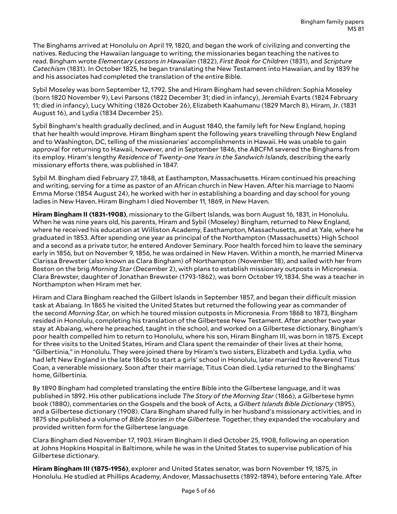The Binghams arrived at Honolulu on April 19, 1820, and began the work of civilizing and converting the natives. Reducing the Hawaiian language to writing, the missionaries began teaching the natives to read. Bingham wrote *Elementary Lessons in Hawaiian* (1822), *First Book for Children* (1831), and *Scripture Catechism* (1831). In October 1825, he began translating the New Testament into Hawaiian, and by 1839 he and his associates had completed the translation of the entire Bible.

Sybil Moseley was born September 12, 1792. She and Hiram Bingham had seven children: Sophia Moseley (born 1820 November 9), Levi Parsons (1822 December 31; died in infancy), Jeremiah Evarts (1824 February 11; died in infancy), Lucy Whiting (1826 October 26), Elizabeth Kaahumanu (1829 March 8), Hiram, Jr. (1831 August 16), and Lydia (1834 December 25).

Sybil Bingham's health gradually declined, and in August 1840, the family left for New England, hoping that her health would improve. Hiram Bingham spent the following years travelling through New England and to Washington, DC, telling of the missionaries' accomplishments in Hawaii. He was unable to gain approval for returning to Hawaii, however, and in September 1846, the ABCFM severed the Binghams from its employ. Hiram's lengthy *Residence of Twenty-one Years in the Sandwich Islands*, describing the early missionary efforts there, was published in 1847.

Sybil M. Bingham died February 27, 1848, at Easthampton, Massachusetts. Hiram continued his preaching and writing, serving for a time as pastor of an African church in New Haven. After his marriage to Naomi Emma Morse (1854 August 24), he worked with her in establishing a boarding and day school for young ladies in New Haven. Hiram Bingham I died November 11, 1869, in New Haven.

**Hiram Bingham II (1831-1908)**, missionary to the Gilbert Islands, was born August 16, 1831, in Honolulu. When he was nine years old, his parents, Hiram and Sybil (Moseley) Bingham, returned to New England, where he received his education at Williston Academy, Easthampton, Massachusetts, and at Yale, where he graduated in 1853. After spending one year as principal of the Northampton (Massachusetts) High School and a second as a private tutor, he entered Andover Seminary. Poor health forced him to leave the seminary early in 1856, but on November 9, 1856, he was ordained in New Haven. Within a month, he married Minerva Clarissa Brewster (also known as Clara Bingham) of Northampton (November 18), and sailed with her from Boston on the brig *Morning Star* (December 2), with plans to establish missionary outposts in Micronesia. Clara Brewster, daughter of Jonathan Brewster (1793-1862), was born October 19, 1834. She was a teacher in Northampton when Hiram met her.

Hiram and Clara Bingham reached the Gilbert Islands in September 1857, and began their difficult mission task at Abaiang. In 1865 he visited the United States but returned the following year as commander of the second *Morning Star*, on which he toured mission outposts in Micronesia. From 1868 to 1873, Bingham resided in Honolulu, completing his translation of the Gilbertese New Testament. After another two year stay at Abaiang, where he preached, taught in the school, and worked on a Gilbertese dictionary, Bingham's poor health compelled him to return to Honolulu, where his son, Hiram Bingham III, was born in 1875. Except for three visits to the United States, Hiram and Clara spent the remainder of their lives at their home, "Gilbertinia," in Honolulu. They were joined there by Hiram's two sisters, Elizabeth and Lydia. Lydia, who had left New England in the late 1860s to start a girls' school in Honolulu, later married the Reverend Titus Coan, a venerable missionary. Soon after their marriage, Titus Coan died. Lydia returned to the Binghams' home, Gilbertinia.

By 1890 Bingham had completed translating the entire Bible into the Gilbertese language, and it was published in 1892. His other publications include *The Story of the Morning Star* (1866), a Gilbertese hymn book (1880), commentaries on the Gospels and the book of Acts, a *Gilbert Islands Bible Dictionary* (1895), and a Gilbertese dictionary (1908). Clara Bingham shared fully in her husband's missionary activities, and in 1875 she published a volume of *Bible Stories in the Gilbertese*. Together, they expanded the vocabulary and provided written form for the Gilbertese language.

Clara Bingham died November 17, 1903. Hiram Bingham II died October 25, 1908, following an operation at Johns Hopkins Hospital in Baltimore, while he was in the United States to supervise publication of his Gilbertese dictionary.

**Hiram Bingham III (1875-1956)**, explorer and United States senator, was born November 19, 1875, in Honolulu. He studied at Phillips Academy, Andover, Massachusetts (1892-1894), before entering Yale. After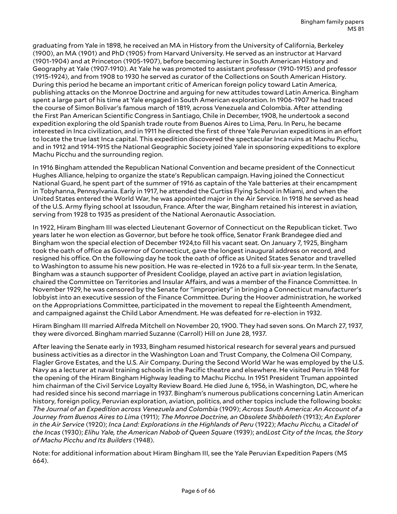graduating from Yale in 1898, he received an MA in History from the University of California, Berkeley (1900), an MA (1901) and PhD (1905) from Harvard University. He served as an instructor at Harvard (1901-1904) and at Princeton (1905-1907), before becoming lecturer in South American History and Geography at Yale (1907-1910). At Yale he was promoted to assistant professor (1910-1915) and professor (1915-1924), and from 1908 to 1930 he served as curator of the Collections on South American History. During this period he became an important critic of American foreign policy toward Latin America, publishing attacks on the Monroe Doctrine and arguing for new attitudes toward Latin America. Bingham spent a large part of his time at Yale engaged in South American exploration. In 1906-1907 he had traced the course of Simon Bolivar's famous march of 1819, across Venezuela and Colombia. After attending the First Pan American Scientific Congress in Santiago, Chile in December, 1908, he undertook a second expedition exploring the old Spanish trade route from Buenos Aires to Lima, Peru. In Peru, he became interested in Inca civilization, and in 1911 he directed the first of three Yale Peruvian expeditions in an effort to locate the true last Inca capital. This expedition discovered the spectacular Inca ruins at Machu Picchu, and in 1912 and 1914-1915 the National Geographic Society joined Yale in sponsoring expeditions to explore Machu Picchu and the surrounding region.

In 1916 Bingham attended the Republican National Convention and became president of the Connecticut Hughes Alliance, helping to organize the state's Republican campaign. Having joined the Connecticut National Guard, he spent part of the summer of 1916 as captain of the Yale batteries at their encampment in Tobyhanna, Pennsylvania. Early in 1917, he attended the Curtiss Flying School in Miami, and when the United States entered the World War, he was appointed major in the Air Service. In 1918 he served as head of the U.S. Army flying school at Issoudun, France. After the war, Bingham retained his interest in aviation, serving from 1928 to 1935 as president of the National Aeronautic Association.

In 1922, Hiram Bingham III was elected Lieutenant Governor of Connecticut on the Republican ticket. Two years later he won election as Governor, but before he took office, Senator Frank Brandegee died and Bingham won the special election of December 1924,to fill his vacant seat. On January 7, 1925, Bingham took the oath of office as Governor of Connecticut, gave the longest inaugural address on record, and resigned his office. On the following day he took the oath of office as United States Senator and travelled to Washington to assume his new position. He was re-elected in 1926 to a full six-year term. In the Senate, Bingham was a staunch supporter of President Coolidge, played an active part in aviation legislation, chaired the Committee on Territories and Insular Affairs, and was a member of the Finance Committee. In November 1929, he was censored by the Senate for "impropriety" in bringing a Connecticut manufacturer's lobbyist into an executive session of the Finance Committee. During the Hoover administration, he worked on the Appropriations Committee, participated in the movement to repeal the Eighteenth Amendment, and campaigned against the Child Labor Amendment. He was defeated for re-election in 1932.

Hiram Bingham III married Alfreda Mitchell on November 20, 1900. They had seven sons. On March 27, 1937, they were divorced. Bingham married Suzanne (Carroll) Hill on June 28, 1937.

After leaving the Senate early in 1933, Bingham resumed historical research for several years and pursued business activities as a director in the Washington Loan and Trust Company, the Colmena Oil Company, Flagler Grove Estates, and the U.S. Air Company. During the Second World War he was employed by the U.S. Navy as a lecturer at naval training schools in the Pacific theatre and elsewhere. He visited Peru in 1948 for the opening of the Hiram Bingham Highway leading to Machu Picchu. In 1951 President Truman appointed him chairman of the Civil Service Loyalty Review Board. He died June 6, 1956, in Washington, DC, where he had resided since his second marriage in 1937. Bingham's numerous publications concerning Latin American history, foreign policy, Peruvian exploration, aviation, politics, and other topics include the following books: *The Journal of an Expedition across Venezuela and Colombia* (1909); *Across South America: An Account of a Journey from Buenos Aires to Lima* (1911); *The Monroe Doctrine, an Obsolete Shibboleth* (1913); *An Explorer in the Air Service* (1920); *Inca Land: Explorations in the Highlands of Peru* (1922); *Machu Picchu, a Citadel of* the Incas (1930); Elihu Yale, the American Nabob of Queen Square (1939); and Lost City of the Incas, the Story *of Machu Picchu and Its Builders* (1948).

Note: for additional information about Hiram Bingham III, see the Yale Peruvian Expedition Papers (MS 664).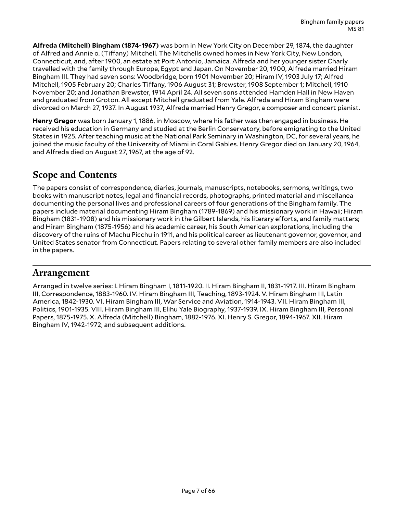**Alfreda (Mitchell) Bingham (1874-1967)** was born in New York City on December 29, 1874, the daughter of Alfred and Annie o. (Tiffany) Mitchell. The Mitchells owned homes in New York City, New London, Connecticut, and, after 1900, an estate at Port Antonio, Jamaica. Alfreda and her younger sister Charly travelled with the family through Europe, Egypt and Japan. On November 20, 1900, Alfreda married Hiram Bingham III. They had seven sons: Woodbridge, born 1901 November 20; Hiram IV, 1903 July 17; Alfred Mitchell, 1905 February 20; Charles Tiffany, 1906 August 31; Brewster, 1908 September 1; Mitchell, 1910 November 20; and Jonathan Brewster, 1914 April 24. All seven sons attended Hamden Hall in New Haven and graduated from Groton. All except Mitchell graduated from Yale. Alfreda and Hiram Bingham were divorced on March 27, 1937. In August 1937, Alfreda married Henry Gregor, a composer and concert pianist.

**Henry Gregor** was born January 1, 1886, in Moscow, where his father was then engaged in business. He received his education in Germany and studied at the Berlin Conservatory, before emigrating to the United States in 1925. After teaching music at the National Park Seminary in Washington, DC, for several years, he joined the music faculty of the University of Miami in Coral Gables. Henry Gregor died on January 20, 1964, and Alfreda died on August 27, 1967, at the age of 92.

# <span id="page-6-0"></span>**Scope and Contents**

The papers consist of correspondence, diaries, journals, manuscripts, notebooks, sermons, writings, two books with manuscript notes, legal and financial records, photographs, printed material and miscellanea documenting the personal lives and professional careers of four generations of the Bingham family. The papers include material documenting Hiram Bingham (1789-1869) and his missionary work in Hawaii; Hiram Bingham (1831-1908) and his missionary work in the Gilbert Islands, his literary efforts, and family matters; and Hiram Bingham (1875-1956) and his academic career, his South American explorations, including the discovery of the ruins of Machu Picchu in 1911, and his political career as lieutenant governor, governor, and United States senator from Connecticut. Papers relating to several other family members are also included in the papers.

### <span id="page-6-1"></span>**Arrangement**

Arranged in twelve series: I. Hiram Bingham I, 1811-1920. II. Hiram Bingham II, 1831-1917. III. Hiram Bingham III, Correspondence, 1883-1960. IV. Hiram Bingham III, Teaching, 1893-1924. V. Hiram Bingham III, Latin America, 1842-1930. VI. Hiram Bingham III, War Service and Aviation, 1914-1943. VII. Hiram Bingham III, Politics, 1901-1935. VIII. Hiram Bingham III, Elihu Yale Biography, 1937-1939. IX. Hiram Bingham III, Personal Papers, 1875-1975. X. Alfreda (Mitchell) Bingham, 1882-1976. XI. Henry S. Gregor, 1894-1967. XII. Hiram Bingham IV, 1942-1972; and subsequent additions.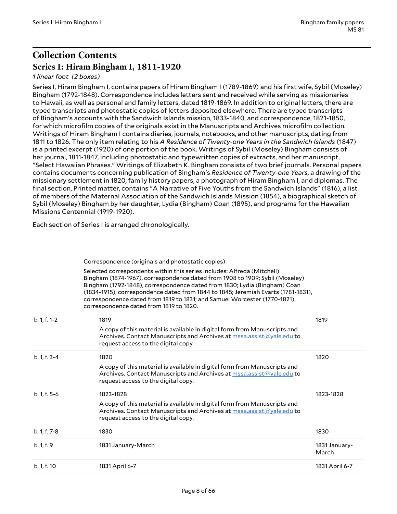# <span id="page-7-0"></span>**Collection Contents Series I: Hiram Bingham I, 1811-1920**

### <span id="page-7-1"></span>*1 linear foot (2 boxes)*

Series I, Hiram Bingham I, contains papers of Hiram Bingham I (1789-1869) and his first wife, Sybil (Moseley) Bingham (1792-1848). Correspondence includes letters sent and received while serving as missionaries to Hawaii, as well as personal and family letters, dated 1819-1869. In addition to original letters, there are typed transcripts and photostatic copies of letters deposited elsewhere. There are typed transcripts of Bingham's accounts with the Sandwich Islands mission, 1833-1840, and correspondence, 1821-1850, for which microfilm copies of the originals exist in the Manuscripts and Archives microfilm collection. Writings of Hiram Bingham I contains diaries, journals, notebooks, and other manuscripts, dating from 1811 to 1826. The only item relating to his *A Residence of Twenty-one Years in the Sandwich Islands* (1847) is a printed excerpt (1920) of one portion of the book. Writings of Sybil (Moseley) Bingham consists of her journal, 1811-1847, including photostatic and typewritten copies of extracts, and her manuscript, "Select Hawaiian Phrases." Writings of Elizabeth K. Bingham consists of two brief journals. Personal papers contains documents concerning publication of Bingham's *Residence of Twenty-one Years*, a drawing of the missionary settlement in 1820, family history papers, a photograph of Hiram Bingham I, and diplomas. The final section, Printed matter, contains "A Narrative of Five Youths from the Sandwich Islands" (1816), a list of members of the Maternal Association of the Sandwich Islands Mission (1854), a biographical sketch of Sybil (Moseley) Bingham by her daughter, Lydia (Bingham) Coan (1895), and programs for the Hawaiian Missions Centennial (1919-1920).

Each section of Series I is arranged chronologically.

Correspondence (originals and photostatic copies)

Selected correspondents within this series includes: Alfreda (Mitchell) Bingham (1874-1967), correspondence dated from 1908 to 1909; Sybil (Moseley) Bingham (1792-1848), correspondence dated from 1830; Lydia (Bingham) Coan (1834-1915), correspondence dated from 1844 to 1845; Jeremiah Evarts (1781-1831), correspondence dated from 1819 to 1831; and Samuel Worcester (1770-1821), correspondence dated from 1819 to 1820.

| $b. 1, f. 1-2$ | 1819<br>A copy of this material is available in digital form from Manuscripts and<br>Archives. Contact Manuscripts and Archives at mssa.assist@yale.edu to<br>request access to the digital copy.      | 1819                   |
|----------------|--------------------------------------------------------------------------------------------------------------------------------------------------------------------------------------------------------|------------------------|
| $b. 1, f. 3-4$ | 1820<br>A copy of this material is available in digital form from Manuscripts and<br>Archives. Contact Manuscripts and Archives at mssa.assist@yale.edu to<br>request access to the digital copy.      | 1820                   |
| $b. 1, f. 5-6$ | 1823-1828<br>A copy of this material is available in digital form from Manuscripts and<br>Archives. Contact Manuscripts and Archives at mssa.assist@yale.edu to<br>request access to the digital copy. | 1823-1828              |
| b. 1, f. 7-8   | 1830                                                                                                                                                                                                   | 1830                   |
| b. 1, f. 9     | 1831 January-March                                                                                                                                                                                     | 1831 January-<br>March |
| b. 1, f. 10    | 1831 April 6-7                                                                                                                                                                                         | 1831 April 6-7         |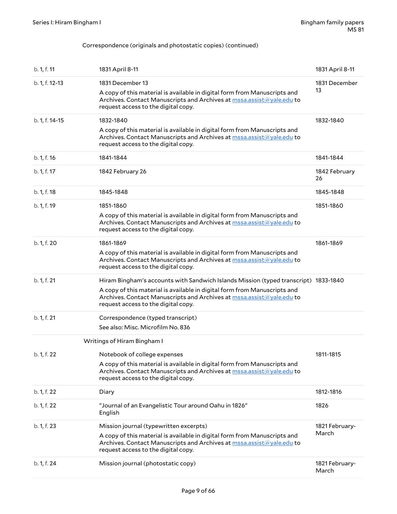#### Correspondence (originals and photostatic copies) (continued)

| b. 1, f. 11    | 1831 April 8-11                                                                                                                                                                                                                                                                  | 1831 April 8-11         |
|----------------|----------------------------------------------------------------------------------------------------------------------------------------------------------------------------------------------------------------------------------------------------------------------------------|-------------------------|
| b. 1, f. 12-13 | 1831 December 13<br>A copy of this material is available in digital form from Manuscripts and<br>Archives. Contact Manuscripts and Archives at mssa.assist@yale.edu to<br>request access to the digital copy.                                                                    | 1831 December<br>13     |
| b. 1, f. 14-15 | 1832-1840<br>A copy of this material is available in digital form from Manuscripts and<br>Archives. Contact Manuscripts and Archives at mssa.assist@yale.edu to<br>request access to the digital copy.                                                                           | 1832-1840               |
| b. 1, f. 16    | 1841-1844                                                                                                                                                                                                                                                                        | 1841-1844               |
| b. 1, f. 17    | 1842 February 26                                                                                                                                                                                                                                                                 | 1842 February<br>26     |
| b. 1, f. 18    | 1845-1848                                                                                                                                                                                                                                                                        | 1845-1848               |
| b. 1, f. 19    | 1851-1860<br>A copy of this material is available in digital form from Manuscripts and<br>Archives. Contact Manuscripts and Archives at mssa.assist@yale.edu to<br>request access to the digital copy.                                                                           | 1851-1860               |
| b. 1, f. 20    | 1861-1869<br>A copy of this material is available in digital form from Manuscripts and<br>Archives. Contact Manuscripts and Archives at mssa.assist@yale.edu to<br>request access to the digital copy.                                                                           | 1861-1869               |
| b. 1, f. 21    | Hiram Bingham's accounts with Sandwich Islands Mission (typed transcript) 1833-1840<br>A copy of this material is available in digital form from Manuscripts and<br>Archives. Contact Manuscripts and Archives at mssa.assist@yale.edu to<br>request access to the digital copy. |                         |
| b. 1, f. 21    | Correspondence (typed transcript)<br>See also: Misc. Microfilm No. 836                                                                                                                                                                                                           |                         |
|                | Writings of Hiram Bingham I                                                                                                                                                                                                                                                      |                         |
| b. 1, f. 22    | Notebook of college expenses<br>A copy of this material is available in digital form from Manuscripts and<br>Archives. Contact Manuscripts and Archives at mssa.assist@yale.edu to<br>request access to the digital copy.                                                        | 1811-1815               |
| b. 1, f. 22    | Diary                                                                                                                                                                                                                                                                            | 1812-1816               |
| b. 1, f. 22    | "Journal of an Evangelistic Tour around Oahu in 1826"<br>English                                                                                                                                                                                                                 | 1826                    |
| b. 1, f. 23    | Mission journal (typewritten excerpts)<br>A copy of this material is available in digital form from Manuscripts and<br>Archives. Contact Manuscripts and Archives at mssa.assist@yale.edu to<br>request access to the digital copy.                                              | 1821 February-<br>March |
| b. 1, f. 24    | Mission journal (photostatic copy)                                                                                                                                                                                                                                               | 1821 February-<br>March |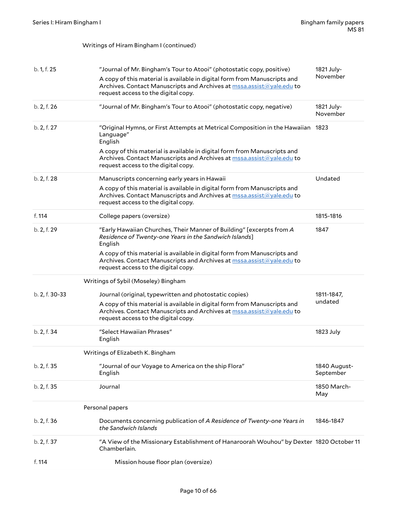Writings of Hiram Bingham I (continued)

| b. 1, f. 25    | "Journal of Mr. Bingham's Tour to Atooi" (photostatic copy, positive)<br>A copy of this material is available in digital form from Manuscripts and<br>Archives. Contact Manuscripts and Archives at mssa.assist@yale.edu to<br>request access to the digital copy. | 1821 July-<br>November    |
|----------------|--------------------------------------------------------------------------------------------------------------------------------------------------------------------------------------------------------------------------------------------------------------------|---------------------------|
| b. 2, f. 26    | "Journal of Mr. Bingham's Tour to Atooi" (photostatic copy, negative)                                                                                                                                                                                              | 1821 July-<br>November    |
| b. 2, f. 27    | "Original Hymns, or First Attempts at Metrical Composition in the Hawaiian<br>Language"<br>English<br>A copy of this material is available in digital form from Manuscripts and<br>Archives. Contact Manuscripts and Archives at mssa.assist@yale.edu to           | 1823                      |
|                | request access to the digital copy.                                                                                                                                                                                                                                |                           |
| b. 2, f. 28    | Manuscripts concerning early years in Hawaii                                                                                                                                                                                                                       | Undated                   |
|                | A copy of this material is available in digital form from Manuscripts and<br>Archives. Contact Manuscripts and Archives at mssa.assist@yale.edu to<br>request access to the digital copy.                                                                          |                           |
| f. 114         | College papers (oversize)                                                                                                                                                                                                                                          | 1815-1816                 |
| b. 2, f. 29    | "Early Hawaiian Churches, Their Manner of Building" [excerpts from A<br>Residence of Twenty-one Years in the Sandwich Islands]<br>English                                                                                                                          | 1847                      |
|                | A copy of this material is available in digital form from Manuscripts and<br>Archives. Contact Manuscripts and Archives at mssa.assist@yale.edu to<br>request access to the digital copy.                                                                          |                           |
|                | Writings of Sybil (Moseley) Bingham                                                                                                                                                                                                                                |                           |
| b. 2, f. 30-33 | Journal (original, typewritten and photostatic copies)                                                                                                                                                                                                             | 1811-1847,                |
|                | A copy of this material is available in digital form from Manuscripts and<br>Archives. Contact Manuscripts and Archives at mssa.assist@yale.edu to<br>request access to the digital copy.                                                                          | undated                   |
| b. 2, f. 34    | "Select Hawaiian Phrases"<br>English                                                                                                                                                                                                                               | 1823 July                 |
|                | Writings of Elizabeth K. Bingham                                                                                                                                                                                                                                   |                           |
| b. 2, f. 35    | "Journal of our Voyage to America on the ship Flora"<br>English                                                                                                                                                                                                    | 1840 August-<br>September |
| b. 2, f. 35    | Journal                                                                                                                                                                                                                                                            | 1850 March-<br>May        |
|                | Personal papers                                                                                                                                                                                                                                                    |                           |
| b. 2, f. 36    | Documents concerning publication of A Residence of Twenty-one Years in<br>the Sandwich Islands                                                                                                                                                                     | 1846-1847                 |
| b. 2, f. 37    | "A View of the Missionary Establishment of Hanaroorah Wouhou" by Dexter 1820 October 11<br>Chamberlain.                                                                                                                                                            |                           |
| f. 114         | Mission house floor plan (oversize)                                                                                                                                                                                                                                |                           |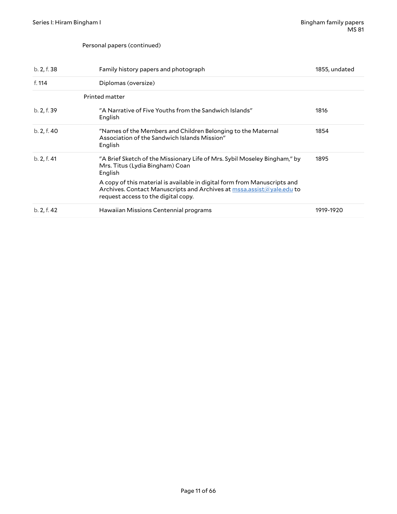#### Personal papers (continued)

| b. 2, f. 38 | Family history papers and photograph                                                                                                                                                      | 1855, undated |
|-------------|-------------------------------------------------------------------------------------------------------------------------------------------------------------------------------------------|---------------|
| f. 114      | Diplomas (oversize)                                                                                                                                                                       |               |
|             | Printed matter                                                                                                                                                                            |               |
| b. 2, f. 39 | "A Narrative of Five Youths from the Sandwich Islands"<br>English                                                                                                                         | 1816          |
| b. 2, f. 40 | "Names of the Members and Children Belonging to the Maternal<br>Association of the Sandwich Islands Mission"<br>English                                                                   | 1854          |
| b. 2, f. 41 | "A Brief Sketch of the Missionary Life of Mrs. Sybil Moseley Bingham," by<br>Mrs. Titus (Lydia Bingham) Coan<br>English                                                                   | 1895          |
|             | A copy of this material is available in digital form from Manuscripts and<br>Archives. Contact Manuscripts and Archives at mssa.assist@yale.edu to<br>request access to the digital copy. |               |
| b. 2, f. 42 | Hawaiian Missions Centennial programs                                                                                                                                                     | 1919-1920     |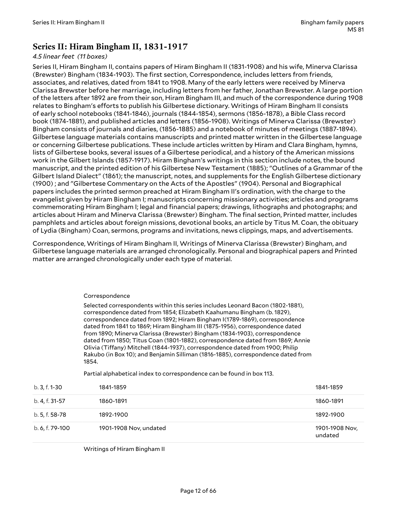### <span id="page-11-0"></span>**Series II: Hiram Bingham II, 1831-1917**

#### *4.5 linear feet (11 boxes)*

Series II, Hiram Bingham II, contains papers of Hiram Bingham II (1831-1908) and his wife, Minerva Clarissa (Brewster) Bingham (1834-1903). The first section, Correspondence, includes letters from friends, associates, and relatives, dated from 1841 to 1908. Many of the early letters were received by Minerva Clarissa Brewster before her marriage, including letters from her father, Jonathan Brewster. A large portion of the letters after 1892 are from their son, Hiram Bingham III, and much of the correspondence during 1908 relates to Bingham's efforts to publish his Gilbertese dictionary. Writings of Hiram Bingham II consists of early school notebooks (1841-1846), journals (1844-1854), sermons (1856-1878), a Bible Class record book (1874-1881), and published articles and letters (1856-1908). Writings of Minerva Clarissa (Brewster) Bingham consists of journals and diaries, (1856-1885) and a notebook of minutes of meetings (1887-1894). Gilbertese language materials contains manuscripts and printed matter written in the Gilbertese language or concerning Gilbertese publications. These include articles written by Hiram and Clara Bingham, hymns, lists of Gilbertese books, several issues of a Gilbertese periodical, and a history of the American missions work in the Gilbert Islands (1857-1917). Hiram Bingham's writings in this section include notes, the bound manuscript, and the printed edition of his Gilbertese New Testament (1885); "Outlines of a Grammar of the Gilbert Island Dialect" (1861); the manuscript, notes, and supplements for the English Gilbertese dictionary (1900) ; and "Gilbertese Commentary on the Acts of the Apostles" (1904). Personal and Biographical papers includes the printed sermon preached at Hiram Bingham II's ordination, with the charge to the evangelist given by Hiram Bingham I; manuscripts concerning missionary activities; articles and programs commemorating Hiram Bingham I; legal and financial papers; drawings, lithographs and photographs; and articles about Hiram and Minerva Clarissa (Brewster) Bingham. The final section, Printed matter, includes pamphlets and articles about foreign missions, devotional books, an article by Titus M. Coan, the obituary of Lydia (Bingham) Coan, sermons, programs and invitations, news clippings, maps, and advertisements.

Correspondence, Writings of Hiram Bingham II, Writings of Minerva Clarissa (Brewster) Bingham, and Gilbertese language materials are arranged chronologically. Personal and biographical papers and Printed matter are arranged chronologically under each type of material.

#### Correspondence

Selected correspondents within this series includes Leonard Bacon (1802-1881), correspondence dated from 1854; Elizabeth Kaahumanu Bingham (b. 1829), correspondence dated from 1892; Hiram Bingham I(1789-1869), correspondence dated from 1841 to 1869; Hiram Bingham III (1875-1956), correspondence dated from 1890; Minerva Clarissa (Brewster) Bingham (1834-1903), correspondence dated from 1850; Titus Coan (1801-1882), correspondence dated from 1869; Annie Olivia (Tiffany) Mitchell (1844-1937), correspondence dated from 1900; Philip Rakubo (in Box 10); and Benjamin Silliman (1816-1885), correspondence dated from 1854.

Partial alphabetical index to correspondence can be found in box 113.

| b. 3, f. 1-30   | 1841-1859              | 1841-1859                 |
|-----------------|------------------------|---------------------------|
| b. 4, f. 31-57  | 1860-1891              | 1860-1891                 |
| b. 5, f. 58-78  | 1892-1900              | 1892-1900                 |
| b. 6, f. 79-100 | 1901-1908 Nov, undated | 1901-1908 Nov,<br>undated |

Writings of Hiram Bingham II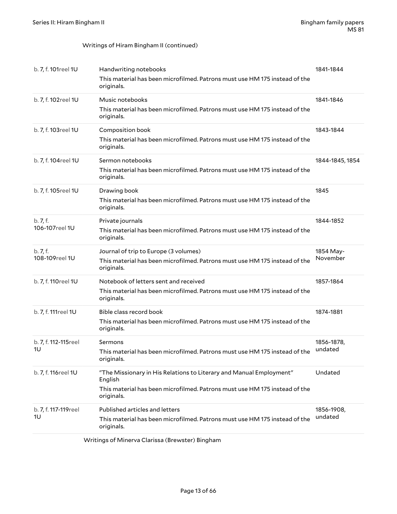#### Writings of Hiram Bingham II (continued)

| b. 7, f. 101reel 1U   | Handwriting notebooks                                                                    | 1841-1844       |
|-----------------------|------------------------------------------------------------------------------------------|-----------------|
|                       | This material has been microfilmed. Patrons must use HM 175 instead of the<br>originals. |                 |
| b. 7, f. 102reel 1U   | Music notebooks                                                                          | 1841-1846       |
|                       | This material has been microfilmed. Patrons must use HM 175 instead of the<br>originals. |                 |
| b. 7, f. 103reel 1U   | Composition book                                                                         | 1843-1844       |
|                       | This material has been microfilmed. Patrons must use HM 175 instead of the<br>originals. |                 |
| b. 7, f. 104reel 1U   | Sermon notebooks                                                                         | 1844-1845, 1854 |
|                       | This material has been microfilmed. Patrons must use HM 175 instead of the<br>originals. |                 |
| b. 7, f. 105reel 1U   | Drawing book                                                                             | 1845            |
|                       | This material has been microfilmed. Patrons must use HM 175 instead of the<br>originals. |                 |
| b. 7, f.              | Private journals                                                                         | 1844-1852       |
| 106-107reel 1U        | This material has been microfilmed. Patrons must use HM 175 instead of the<br>originals. |                 |
| b.7, f.               | Journal of trip to Europe (3 volumes)                                                    | 1854 May-       |
| 108-109reel 1U        | This material has been microfilmed. Patrons must use HM 175 instead of the<br>originals. | November        |
| b. 7, f. 110reel 1U   | Notebook of letters sent and received                                                    | 1857-1864       |
|                       | This material has been microfilmed. Patrons must use HM 175 instead of the<br>originals. |                 |
| b. 7, f. 111reel 1U   | Bible class record book                                                                  | 1874-1881       |
|                       | This material has been microfilmed. Patrons must use HM 175 instead of the<br>originals. |                 |
| b. 7, f. 112-115reel  | Sermons                                                                                  | 1856-1878,      |
| 1U                    | This material has been microfilmed. Patrons must use HM 175 instead of the<br>originals. | undated         |
| b. 7, f. 116reel 1U   | "The Missionary in His Relations to Literary and Manual Employment"<br>English           | Undated         |
|                       | This material has been microfilmed. Patrons must use HM 175 instead of the<br>originals. |                 |
| b. 7, f. 117-119 reel | Published articles and letters                                                           | 1856-1908,      |
| 1U                    | This material has been microfilmed. Patrons must use HM 175 instead of the<br>originals. | undated         |
|                       |                                                                                          |                 |

Writings of Minerva Clarissa (Brewster) Bingham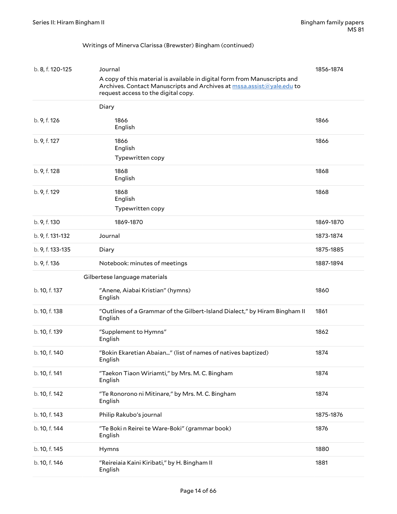#### Writings of Minerva Clarissa (Brewster) Bingham (continued)

| b. 8, f. 120-125 | Journal                                                                                                                                                                                   | 1856-1874 |
|------------------|-------------------------------------------------------------------------------------------------------------------------------------------------------------------------------------------|-----------|
|                  | A copy of this material is available in digital form from Manuscripts and<br>Archives. Contact Manuscripts and Archives at mssa.assist@yale.edu to<br>request access to the digital copy. |           |
|                  | Diary                                                                                                                                                                                     |           |
| b. 9, f. 126     | 1866<br>English                                                                                                                                                                           | 1866      |
| b. 9, f. 127     | 1866<br>English                                                                                                                                                                           | 1866      |
|                  | Typewritten copy                                                                                                                                                                          |           |
| b. 9, f. 128     | 1868<br>English                                                                                                                                                                           | 1868      |
| b. 9, f. 129     | 1868<br>English                                                                                                                                                                           | 1868      |
|                  | Typewritten copy                                                                                                                                                                          |           |
| b. 9, f. 130     | 1869-1870                                                                                                                                                                                 | 1869-1870 |
| b. 9, f. 131-132 | Journal                                                                                                                                                                                   | 1873-1874 |
| b. 9, f. 133-135 | Diary                                                                                                                                                                                     | 1875-1885 |
| b. 9, f. 136     | Notebook: minutes of meetings                                                                                                                                                             | 1887-1894 |
|                  | Gilbertese language materials                                                                                                                                                             |           |
| b. 10, f. 137    | "Anene, Aiabai Kristian" (hymns)<br>English                                                                                                                                               | 1860      |
| b. 10, f. 138    | "Outlines of a Grammar of the Gilbert-Island Dialect," by Hiram Bingham II<br>English                                                                                                     | 1861      |
| b. 10, f. 139    | "Supplement to Hymns"<br>English                                                                                                                                                          | 1862      |
| b. 10, f. 140    | "Bokin Ekaretian Abaian" (list of names of natives baptized)<br>English                                                                                                                   | 1874      |
| b. 10, f. 141    | "Taekon Tiaon Wiriamti," by Mrs. M. C. Bingham<br>English                                                                                                                                 | 1874      |
| b. 10, f. 142    | "Te Ronorono ni Mitinare," by Mrs. M. C. Bingham<br>English                                                                                                                               | 1874      |
| b. 10, f. 143    | Philip Rakubo's journal                                                                                                                                                                   | 1875-1876 |
| b. 10, f. 144    | "Te Boki n Reirei te Ware-Boki" (grammar book)<br>English                                                                                                                                 | 1876      |
| b. 10, f. 145    | Hymns                                                                                                                                                                                     | 1880      |
| b. 10, f. 146    | "Reireiaia Kaini Kiribati," by H. Bingham II<br>English                                                                                                                                   | 1881      |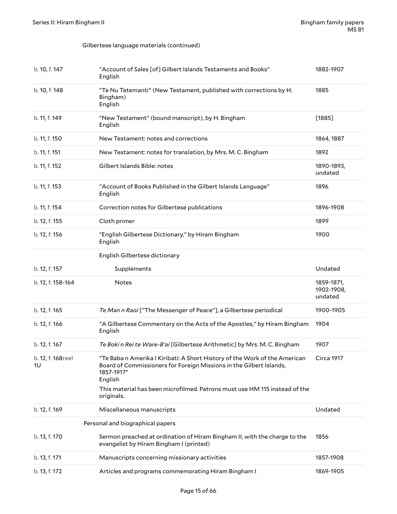#### Gilbertese language materials (continued)

| b. 10, f. 147           | "Account of Sales [of] Gilbert Islands Testaments and Books"<br>English                                                                                                                                                                                                | 1882-1907                           |
|-------------------------|------------------------------------------------------------------------------------------------------------------------------------------------------------------------------------------------------------------------------------------------------------------------|-------------------------------------|
| b. 10, f. 148           | "Te Nu Tetemanti" (New Testament, published with corrections by H.<br>Bingham)<br>English                                                                                                                                                                              | 1885                                |
| b. 11, f. 149           | "New Testament" (bound manscript), by H. Bingham<br>English                                                                                                                                                                                                            | [1885]                              |
| b. 11, f. 150           | New Testament: notes and corrections                                                                                                                                                                                                                                   | 1864, 1887                          |
| b. 11, f. 151           | New Testament: notes for translation, by Mrs. M. C. Bingham                                                                                                                                                                                                            | 1892                                |
| b. 11, f. 152           | Gilbert Islands Bible: notes                                                                                                                                                                                                                                           | 1890-1893,<br>undated               |
| b. 11, f. 153           | "Account of Books Published in the Gilbert Islands Language"<br>English                                                                                                                                                                                                | 1896                                |
| b. 11, f. 154           | Correction notes for Gilbertese publications                                                                                                                                                                                                                           | 1896-1908                           |
| b. 12, f. 155           | Cloth primer                                                                                                                                                                                                                                                           | 1899                                |
| b. 12, f. 156           | "English Gilbertese Dictionary," by Hiram Bingham<br>English                                                                                                                                                                                                           | 1900                                |
|                         | English Gilbertese dictionary                                                                                                                                                                                                                                          |                                     |
| b. 12, f. 157           | Supplements                                                                                                                                                                                                                                                            | Undated                             |
| b. 12, f. 158-164       | <b>Notes</b>                                                                                                                                                                                                                                                           | 1859-1871,<br>1902-1908,<br>undated |
| b. 12, f. 165           | Te Man n Raoi ["The Messenger of Peace"], a Gilbertese periodical                                                                                                                                                                                                      | 1900-1905                           |
| b. 12, f. 166           | "A Gilbertese Commentary on the Acts of the Apostles," by Hiram Bingham<br>English                                                                                                                                                                                     | 1904                                |
| b. 12, f. 167           | Te Bokin Rei te Ware-B'ai [Gilbertese Arithmetic] by Mrs. M. C. Bingham                                                                                                                                                                                                | 1907                                |
| b. 12, f. 168reel<br>1U | "Te Baba n Amerika I Kiribati: A Short History of the Work of the American<br>Board of Commissioners for Foreign Missions in the Gilbert Islands,<br>1857-1917″<br>English<br>This material has been microfilmed. Patrons must use HM 115 instead of the<br>originals. | Circa 1917                          |
| b. 12, f. 169           | Miscellaneous manuscripts                                                                                                                                                                                                                                              | Undated                             |
|                         | Personal and biographical papers                                                                                                                                                                                                                                       |                                     |
| b. 13, f. 170           | Sermon preached at ordination of Hiram Bingham II, with the charge to the                                                                                                                                                                                              | 1856                                |
|                         | evangelist by Hiram Bingham I (printed)                                                                                                                                                                                                                                |                                     |
| b. 13, f. 171           | Manuscripts concerning missionary activities                                                                                                                                                                                                                           | 1857-1908                           |
| b. 13, f. 172           | Articles and programs commemorating Hiram Bingham I                                                                                                                                                                                                                    | 1869-1905                           |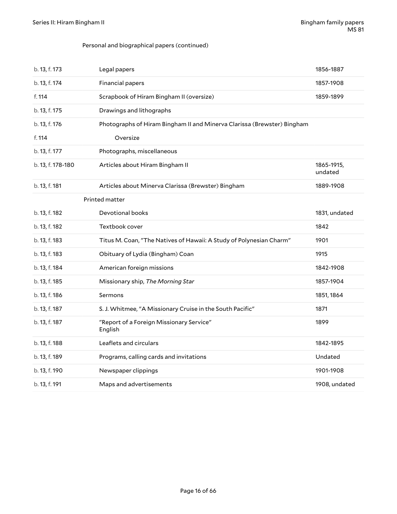#### Personal and biographical papers (continued)

| b. 13, f. 173     | Legal papers                                                            | 1856-1887             |
|-------------------|-------------------------------------------------------------------------|-----------------------|
| b. 13, f. 174     | Financial papers                                                        | 1857-1908             |
| f. 114            | Scrapbook of Hiram Bingham II (oversize)                                | 1859-1899             |
| b. 13, f. 175     | Drawings and lithographs                                                |                       |
| b. 13, f. 176     | Photographs of Hiram Bingham II and Minerva Clarissa (Brewster) Bingham |                       |
| f. 114            | Oversize                                                                |                       |
| b. 13, f. 177     | Photographs, miscellaneous                                              |                       |
| b. 13, f. 178-180 | Articles about Hiram Bingham II                                         | 1865-1915,<br>undated |
| b. 13, f. 181     | Articles about Minerva Clarissa (Brewster) Bingham                      | 1889-1908             |
|                   | Printed matter                                                          |                       |
| b. 13, f. 182     | Devotional books                                                        | 1831, undated         |
| b. 13, f. 182     | Textbook cover                                                          | 1842                  |
| b. 13, f. 183     | Titus M. Coan, "The Natives of Hawaii: A Study of Polynesian Charm"     | 1901                  |
| b. 13, f. 183     | Obituary of Lydia (Bingham) Coan                                        | 1915                  |
| b. 13, f. 184     | American foreign missions                                               | 1842-1908             |
| b. 13, f. 185     | Missionary ship, The Morning Star                                       | 1857-1904             |
| b. 13, f. 186     | Sermons                                                                 | 1851, 1864            |
| b. 13, f. 187     | S. J. Whitmee, "A Missionary Cruise in the South Pacific"               | 1871                  |
| b. 13, f. 187     | "Report of a Foreign Missionary Service"<br>English                     | 1899                  |
| b. 13, f. 188     | Leaflets and circulars                                                  | 1842-1895             |
| b. 13, f. 189     | Programs, calling cards and invitations                                 | Undated               |
| b. 13, f. 190     | Newspaper clippings                                                     | 1901-1908             |
| b. 13, f. 191     | Maps and advertisements                                                 | 1908, undated         |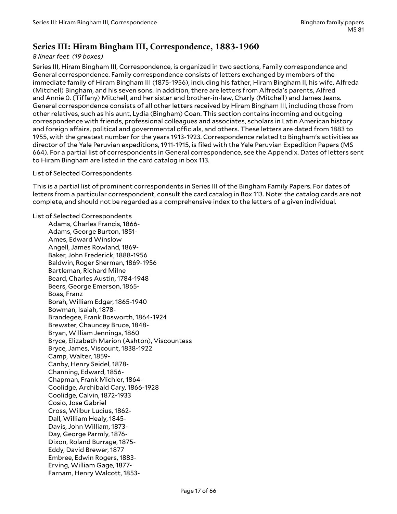### <span id="page-16-0"></span>**Series III: Hiram Bingham III, Correspondence, 1883-1960**

#### *8 linear feet (19 boxes)*

Series III, Hiram Bingham III, Correspondence, is organized in two sections, Family correspondence and General correspondence. Family correspondence consists of letters exchanged by members of the immediate family of Hiram Bingham III (1875-1956), including his father, Hiram Bingham II, his wife, Alfreda (Mitchell) Bingham, and his seven sons. In addition, there are letters from Alfreda's parents, Alfred and Annie 0. (Tiffany) Mitchell, and her sister and brother-in-law, Charly (Mitchell) and James Jeans. General correspondence consists of all other letters received by Hiram Bingham III, including those from other relatives, such as his aunt, Lydia (Bingham) Coan. This section contains incoming and outgoing correspondence with friends, professional colleagues and associates, scholars in Latin American history and foreign affairs, political and governmental officials, and others. These letters are dated from 1883 to 1955, with the greatest number for the years 1913-1923. Correspondence related to Bingham's activities as director of the Yale Peruvian expeditions, 1911-1915, is filed with the Yale Peruvian Expedition Papers (MS 664). For a partial list of correspondents in General correspondence, see the Appendix. Dates of letters sent to Hiram Bingham are listed in the card catalog in box 113.

#### List of Selected Correspondents

This is a partial list of prominent correspondents in Series III of the Bingham Family Papers. For dates of letters from a particular correspondent, consult the card catalog in Box 113. Note: the catalog cards are not complete, and should not be regarded as a comprehensive index to the letters of a given individual.

List of Selected Correspondents

Adams, Charles Francis, 1866- Adams, George Burton, 1851- Ames, Edward Winslow Angell, James Rowland, 1869- Baker, John Frederick, 1888-1956 Baldwin, Roger Sherman, 1869-1956 Bartleman, Richard Milne Beard, Charles Austin, 1784-1948 Beers, George Emerson, 1865- Boas, Franz Borah, William Edgar, 1865-1940 Bowman, Isaiah, 1878- Brandegee, Frank Bosworth, 1864-1924 Brewster, Chauncey Bruce, 1848- Bryan, William Jennings, 1860 Bryce, Elizabeth Marion (Ashton), Viscountess Bryce, James, Viscount, 1838-1922 Camp, Walter, 1859- Canby, Henry Seidel, 1878- Channing, Edward, 1856- Chapman, Frank Michler, 1864- Coolidge, Archibald Cary, 1866-1928 Coolidge, Calvin, 1872-1933 Cosio, Jose Gabriel Cross, Wilbur Lucius, 1862- Dall, William Healy, 1845- Davis, John William, 1873- Day, George Parmly, 1876- Dixon, Roland Burrage, 1875- Eddy, David Brewer, 1877 Embree, Edwin Rogers, 1883- Erving, William Gage, 1877- Farnam, Henry Walcott, 1853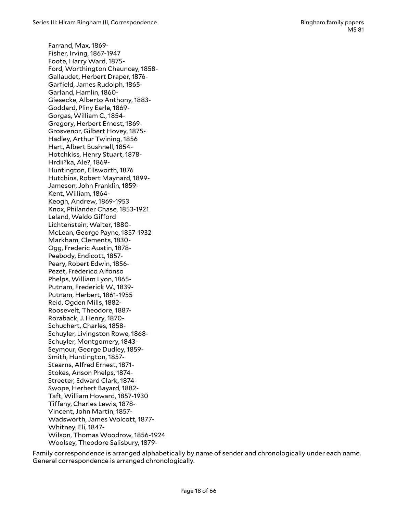Farrand, Max, 1869- Fisher, Irving, 1867-1947 Foote, Harry Ward, 1875- Ford, Worthington Chauncey, 1858- Gallaudet, Herbert Draper, 1876- Garfield, James Rudolph, 1865- Garland, Hamlin, 1860- Giesecke, Alberto Anthony, 1883- Goddard, Pliny Earle, 1869- Gorgas, William C., 1854- Gregory, Herbert Ernest, 1869- Grosvenor, Gilbert Hovey, 1875- Hadley, Arthur Twining, 1856 Hart, Albert Bushnell, 1854- Hotchkiss, Henry Stuart, 1878- Hrdli?ka, Ale?, 1869- Huntington, Ellsworth, 1876 Hutchins, Robert Maynard, 1899- Jameson, John Franklin, 1859- Kent, William, 1864- Keogh, Andrew, 1869-1953 Knox, Philander Chase, 1853-1921 Leland, Waldo Gifford Lichtenstein, Walter, 1880- McLean, George Payne, 1857-1932 Markham, Clements, 1830- Ogg, Frederic Austin, 1878- Peabody, Endicott, 1857- Peary, Robert Edwin, 1856- Pezet, Frederico Alfonso Phelps, William Lyon, 1865- Putnam, Frederick W., 1839- Putnam, Herbert, 1861-1955 Reid, Ogden Mills, 1882- Roosevelt, Theodore, 1887- Roraback, J. Henry, 1870- Schuchert, Charles, 1858- Schuyler, Livingston Rowe, 1868- Schuyler, Montgomery, 1843- Seymour, George Dudley, 1859- Smith, Huntington, 1857- Stearns, Alfred Ernest, 1871- Stokes, Anson Phelps, 1874- Streeter, Edward Clark, 1874- Swope, Herbert Bayard, 1882- Taft, William Howard, 1857-1930 Tiffany, Charles Lewis, 1878-Vincent, John Martin, 1857- Wadsworth, James Wolcott, 1877- Whitney, Eli, 1847- Wilson, Thomas Woodrow, 1856-1924 Woolsey, Theodore Salisbury, 1879-

Family correspondence is arranged alphabetically by name of sender and chronologically under each name. General correspondence is arranged chronologically.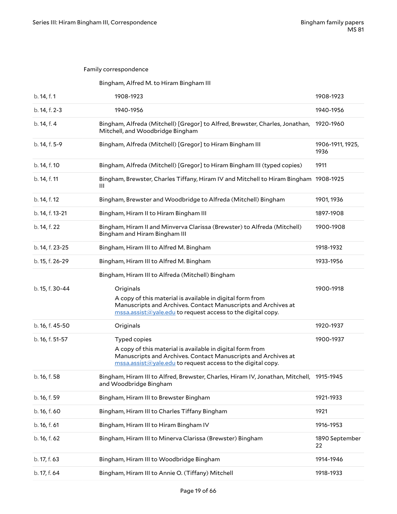#### Family correspondence

#### Bingham, Alfred M. to Hiram Bingham III

| b. 14, f. 1     | 1908-1923                                                                                                                                                                                                                                                           | 1908-1923                |
|-----------------|---------------------------------------------------------------------------------------------------------------------------------------------------------------------------------------------------------------------------------------------------------------------|--------------------------|
| b. 14, f. 2-3   | 1940-1956                                                                                                                                                                                                                                                           | 1940-1956                |
| b. 14, f. 4     | Bingham, Alfreda (Mitchell) [Gregor] to Alfred, Brewster, Charles, Jonathan,<br>Mitchell, and Woodbridge Bingham                                                                                                                                                    | 1920-1960                |
| b. 14, f. 5-9   | Bingham, Alfreda (Mitchell) [Gregor] to Hiram Bingham III                                                                                                                                                                                                           | 1906-1911, 1925,<br>1936 |
| b. 14, f. 10    | Bingham, Alfreda (Mitchell) [Gregor] to Hiram Bingham III (typed copies)                                                                                                                                                                                            | 1911                     |
| b. 14, f. 11    | Bingham, Brewster, Charles Tiffany, Hiram IV and Mitchell to Hiram Bingham<br>Ш                                                                                                                                                                                     | 1908-1925                |
| b. 14, f. 12    | Bingham, Brewster and Woodbridge to Alfreda (Mitchell) Bingham                                                                                                                                                                                                      | 1901, 1936               |
| b. 14, f. 13-21 | Bingham, Hiram II to Hiram Bingham III                                                                                                                                                                                                                              | 1897-1908                |
| b. 14, f. 22    | Bingham, Hiram II and Minverva Clarissa (Brewster) to Alfreda (Mitchell)<br>Bingham and Hiram Bingham III                                                                                                                                                           | 1900-1908                |
| b. 14, f. 23-25 | Bingham, Hiram III to Alfred M. Bingham                                                                                                                                                                                                                             | 1918-1932                |
| b. 15, f. 26-29 | Bingham, Hiram III to Alfred M. Bingham                                                                                                                                                                                                                             | 1933-1956                |
|                 | Bingham, Hiram III to Alfreda (Mitchell) Bingham                                                                                                                                                                                                                    |                          |
| b. 15, f. 30-44 | Originals<br>A copy of this material is available in digital form from<br>Manuscripts and Archives. Contact Manuscripts and Archives at<br>$\frac{mssa.assist( \mathcal{Q} yale.edu}{mssa.assist( \mathcal{Q} yale.edu)}$ to request access to the digital copy.    | 1900-1918                |
| b. 16, f. 45-50 | Originals                                                                                                                                                                                                                                                           | 1920-1937                |
| b. 16, f. 51-57 | Typed copies<br>A copy of this material is available in digital form from<br>Manuscripts and Archives. Contact Manuscripts and Archives at<br>$\frac{mssa.assist( \mathcal{Q} yale.edu}{mssa.assist( \mathcal{Q} yale.edu)}$ to request access to the digital copy. | 1900-1937                |
| b. 16, f. 58    | Bingham, Hiram III to Alfred, Brewster, Charles, Hiram IV, Jonathan, Mitchell, 1915-1945<br>and Woodbridge Bingham                                                                                                                                                  |                          |
| b. 16, f. 59    | Bingham, Hiram III to Brewster Bingham                                                                                                                                                                                                                              | 1921-1933                |
| b. 16, f. 60    | Bingham, Hiram III to Charles Tiffany Bingham                                                                                                                                                                                                                       | 1921                     |
| b. 16, f. 61    | Bingham, Hiram III to Hiram Bingham IV                                                                                                                                                                                                                              | 1916-1953                |
| b. 16, f. 62    | Bingham, Hiram III to Minerva Clarissa (Brewster) Bingham                                                                                                                                                                                                           | 1890 September<br>22     |
| b. 17, f. 63    | Bingham, Hiram III to Woodbridge Bingham                                                                                                                                                                                                                            | 1914-1946                |
| b. 17, f. 64    | Bingham, Hiram III to Annie O. (Tiffany) Mitchell                                                                                                                                                                                                                   | 1918-1933                |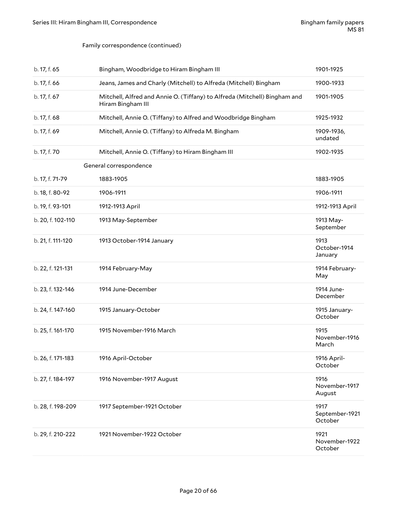#### Family correspondence (continued)

| b. 17, f. 65      | Bingham, Woodbridge to Hiram Bingham III                                                       | 1901-1925                         |
|-------------------|------------------------------------------------------------------------------------------------|-----------------------------------|
| b. 17, f. 66      | Jeans, James and Charly (Mitchell) to Alfreda (Mitchell) Bingham                               | 1900-1933                         |
| b. 17, f. 67      | Mitchell, Alfred and Annie O. (Tiffany) to Alfreda (Mitchell) Bingham and<br>Hiram Bingham III | 1901-1905                         |
| b. 17, f. 68      | Mitchell, Annie O. (Tiffany) to Alfred and Woodbridge Bingham                                  | 1925-1932                         |
| b. 17, f. 69      | Mitchell, Annie O. (Tiffany) to Alfreda M. Bingham                                             | 1909-1936,<br>undated             |
| b. 17, f. 70      | Mitchell, Annie O. (Tiffany) to Hiram Bingham III                                              | 1902-1935                         |
|                   | General correspondence                                                                         |                                   |
| b. 17, f. 71-79   | 1883-1905                                                                                      | 1883-1905                         |
| b. 18, f. 80-92   | 1906-1911                                                                                      | 1906-1911                         |
| b. 19, f. 93-101  | 1912-1913 April                                                                                | 1912-1913 April                   |
| b. 20, f. 102-110 | 1913 May-September                                                                             | 1913 May-<br>September            |
| b. 21, f. 111-120 | 1913 October-1914 January                                                                      | 1913<br>October-1914<br>January   |
| b. 22, f. 121-131 | 1914 February-May                                                                              | 1914 February-<br>May             |
| b. 23, f. 132-146 | 1914 June-December                                                                             | 1914 June-<br>December            |
| b. 24, f. 147-160 | 1915 January-October                                                                           | 1915 January-<br>October          |
| b. 25, f. 161-170 | 1915 November-1916 March                                                                       | 1915<br>November-1916<br>March    |
| b. 26, f. 171-183 | 1916 April-October                                                                             | 1916 April-<br>October            |
| b. 27, f. 184-197 | 1916 November-1917 August                                                                      | 1916<br>November-1917<br>August   |
| b. 28, f. 198-209 | 1917 September-1921 October                                                                    | 1917<br>September-1921<br>October |
| b. 29, f. 210-222 | 1921 November-1922 October                                                                     | 1921<br>November-1922<br>October  |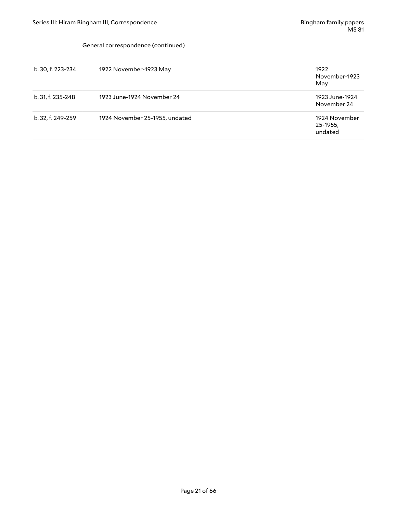#### General correspondence (continued)

| b. 30, f. 223-234 | 1922 November-1923 May         | 1922<br>November-1923<br>May         |
|-------------------|--------------------------------|--------------------------------------|
| b. 31, f. 235-248 | 1923 June-1924 November 24     | 1923 June-1924<br>November 24        |
| b. 32, f. 249-259 | 1924 November 25-1955, undated | 1924 November<br>25-1955,<br>undated |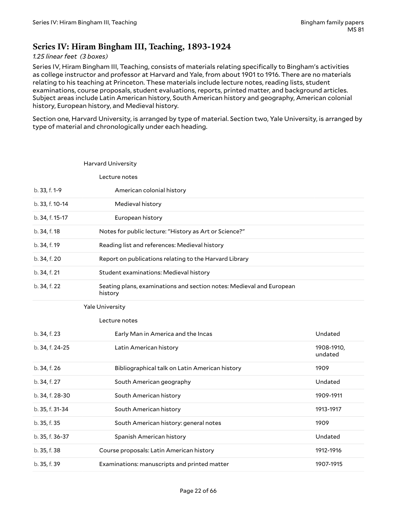### <span id="page-21-0"></span>**Series IV: Hiram Bingham III, Teaching, 1893-1924**

#### *1.25 linear feet (3 boxes)*

Series IV, Hiram Bingham III, Teaching, consists of materials relating specifically to Bingham's activities as college instructor and professor at Harvard and Yale, from about 1901 to 1916. There are no materials relating to his teaching at Princeton. These materials include lecture notes, reading lists, student examinations, course proposals, student evaluations, reports, printed matter, and background articles. Subject areas include Latin American history, South American history and geography, American colonial history, European history, and Medieval history.

Section one, Harvard University, is arranged by type of material. Section two, Yale University, is arranged by type of material and chronologically under each heading.

|                 | Harvard University                                                              |                       |
|-----------------|---------------------------------------------------------------------------------|-----------------------|
|                 | Lecture notes                                                                   |                       |
| b. 33, f. 1-9   | American colonial history                                                       |                       |
| b. 33, f. 10-14 | Medieval history                                                                |                       |
| b. 34, f. 15-17 | European history                                                                |                       |
| b. 34, f. 18    | Notes for public lecture: "History as Art or Science?"                          |                       |
| b. 34, f. 19    | Reading list and references: Medieval history                                   |                       |
| b. 34, f. 20    | Report on publications relating to the Harvard Library                          |                       |
| b. 34, f. 21    | Student examinations: Medieval history                                          |                       |
| b. 34, f. 22    | Seating plans, examinations and section notes: Medieval and European<br>history |                       |
|                 | <b>Yale University</b>                                                          |                       |
|                 | Lecture notes                                                                   |                       |
| b. 34, f. 23    | Early Man in America and the Incas                                              | Undated               |
| b. 34, f. 24-25 | Latin American history                                                          | 1908-1910,<br>undated |
| b. 34, f. 26    | Bibliographical talk on Latin American history                                  | 1909                  |
| b. 34, f. 27    | South American geography                                                        | Undated               |
| b. 34, f. 28-30 | South American history                                                          | 1909-1911             |
| b. 35, f. 31-34 | South American history                                                          | 1913-1917             |
| b. 35, f. 35    | South American history: general notes                                           | 1909                  |
| b. 35, f. 36-37 | Spanish American history                                                        | Undated               |
| b. 35, f. 38    | Course proposals: Latin American history                                        | 1912-1916             |
| b. 35, f. 39    | Examinations: manuscripts and printed matter                                    | 1907-1915             |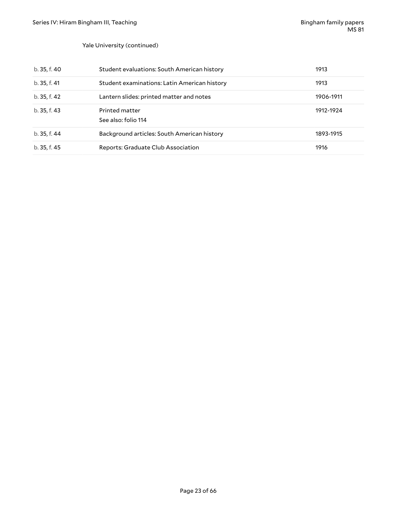#### Yale University (continued)

| b. 35, f. 40 | Student evaluations: South American history  | 1913      |
|--------------|----------------------------------------------|-----------|
| b. 35, f. 41 | Student examinations: Latin American history | 1913      |
| b. 35, f. 42 | Lantern slides: printed matter and notes     | 1906-1911 |
| b. 35, f. 43 | Printed matter<br>See also: folio 114        | 1912-1924 |
| b. 35, f. 44 | Background articles: South American history  | 1893-1915 |
| b. 35, f. 45 | Reports: Graduate Club Association           | 1916      |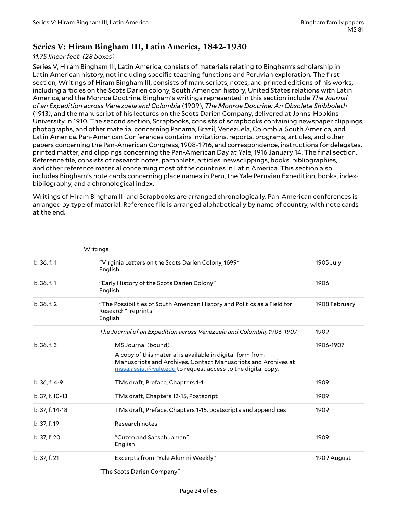### <span id="page-23-0"></span>**Series V: Hiram Bingham III, Latin America, 1842-1930**

#### *11.75 linear feet (28 boxes)*

Series V, Hiram Bingham III, Latin America, consists of materials relating to Bingham's scholarship in Latin American history, not including specific teaching functions and Peruvian exploration. The first section, Writings of Hiram Bingham III, consists of manuscripts, notes, and printed editions of his works, including articles on the Scots Darien colony, South American history, United States relations with Latin America, and the Monroe Doctrine. Bingham's writings represented in this section include *The Journal of an Expedition across Venezuela and Colombia* (1909), *The Monroe Doctrine: An Obsolete Shibboleth* (1913), and the manuscript of his lectures on the Scots Darien Company, delivered at Johns-Hopkins University in 1910. The second section, Scrapbooks, consists of scrapbooks containing newspaper clippings, photographs, and other material concerning Panama, Brazil, Venezuela, Colombia, South America, and Latin America. Pan-American Conferences contains invitations, reports, programs, articles, and other papers concerning the Pan-American Congress, 1908-1916, and correspondence, instructions for delegates, printed matter, and clippings concerning the Pan-American Day at Yale, 1916 January 14. The final section, Reference file, consists of research notes, pamphlets, articles, newsclippings, books, bibliographies, and other reference material concerning most of the countries in Latin America. This section also includes Bingham's note cards concerning place names in Peru, the Yale Peruvian Expedition, books, indexbibliography, and a chronological index.

Writings of Hiram Bingham III and Scrapbooks are arranged chronologically. Pan-American conferences is arranged by type of material. Reference file is arranged alphabetically by name of country, with note cards at the end.

| b.36, f.1       | "Virginia Letters on the Scots Darien Colony, 1699"<br>English                                                                                                                                        | 1905 July     |
|-----------------|-------------------------------------------------------------------------------------------------------------------------------------------------------------------------------------------------------|---------------|
| b.36, f.1       | "Early History of the Scots Darien Colony"<br>English                                                                                                                                                 | 1906          |
| b.36, f.2       | "The Possibilities of South American History and Politics as a Field for<br>Research": reprints<br>English                                                                                            | 1908 February |
|                 | The Journal of an Expedition across Venezuela and Colombia, 1906-1907                                                                                                                                 | 1909          |
| b.36, f.3       | MS Journal (bound)                                                                                                                                                                                    | 1906-1907     |
|                 | A copy of this material is available in digital form from<br>Manuscripts and Archives. Contact Manuscripts and Archives at<br>$\frac{mssa. assist(a)$ yale.edu to request access to the digital copy. |               |
| b. 36, f. 4-9   | TMs draft, Preface, Chapters 1-11                                                                                                                                                                     | 1909          |
| b. 37, f. 10-13 | TMs draft, Chapters 12-15, Postscript                                                                                                                                                                 | 1909          |
| b. 37, f. 14-18 | TMs draft, Preface, Chapters 1-15, postscripts and appendices                                                                                                                                         | 1909          |
| b. 37, f. 19    | Research notes                                                                                                                                                                                        |               |
| b. 37, f. 20    | "Cuzco and Sacsahuaman"<br>English                                                                                                                                                                    | 1909          |
| b. 37, f. 21    | Excerpts from "Yale Alumni Weekly"                                                                                                                                                                    | 1909 August   |
|                 |                                                                                                                                                                                                       |               |

**Writings** 

"The Scots Darien Company"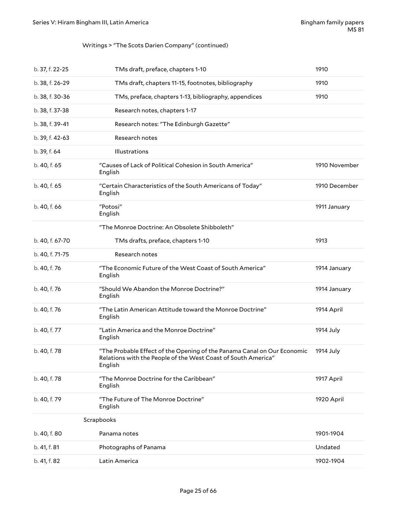### Writings > "The Scots Darien Company" (continued)

| b. 37, f. 22-25 | TMs draft, preface, chapters 1-10                                                                                                                   | 1910          |
|-----------------|-----------------------------------------------------------------------------------------------------------------------------------------------------|---------------|
| b. 38, f. 26-29 | TMs draft, chapters 11-15, footnotes, bibliography                                                                                                  | 1910          |
| b. 38, f. 30-36 | TMs, preface, chapters 1-13, bibliography, appendices                                                                                               | 1910          |
| b. 38, f. 37-38 | Research notes, chapters 1-17                                                                                                                       |               |
| b. 38, f. 39-41 | Research notes: "The Edinburgh Gazette"                                                                                                             |               |
| b. 39, f. 42-63 | Research notes                                                                                                                                      |               |
| b. 39, f. 64    | Illustrations                                                                                                                                       |               |
| b. 40, f. 65    | "Causes of Lack of Political Cohesion in South America"<br>English                                                                                  | 1910 November |
| b. 40, f. 65    | "Certain Characteristics of the South Americans of Today"<br>English                                                                                | 1910 December |
| b. 40, f. 66    | "Potosi"<br>English                                                                                                                                 | 1911 January  |
|                 | "The Monroe Doctrine: An Obsolete Shibboleth"                                                                                                       |               |
| b. 40, f. 67-70 | TMs drafts, preface, chapters 1-10                                                                                                                  | 1913          |
| b. 40, f. 71-75 | Research notes                                                                                                                                      |               |
| b. 40, f. 76    | "The Economic Future of the West Coast of South America"<br>English                                                                                 | 1914 January  |
| b. 40, f. 76    | "Should We Abandon the Monroe Doctrine?"<br>English                                                                                                 | 1914 January  |
| b. 40, f. 76    | "The Latin American Attitude toward the Monroe Doctrine"<br>English                                                                                 | 1914 April    |
| b. 40, f. 77    | "Latin America and the Monroe Doctrine"<br>English                                                                                                  | 1914 July     |
| b. 40, f. 78    | "The Probable Effect of the Opening of the Panama Canal on Our Economic<br>Relations with the People of the West Coast of South America"<br>English | 1914 July     |
| b. 40, f. 78    | "The Monroe Doctrine for the Caribbean"<br>English                                                                                                  | 1917 April    |
| b. 40, f. 79    | "The Future of The Monroe Doctrine"<br>English                                                                                                      | 1920 April    |
|                 | Scrapbooks                                                                                                                                          |               |
| b. 40, f. 80    | Panama notes                                                                                                                                        | 1901-1904     |
| b. 41, f. 81    | Photographs of Panama                                                                                                                               | Undated       |
| b. 41, f. 82    | Latin America                                                                                                                                       | 1902-1904     |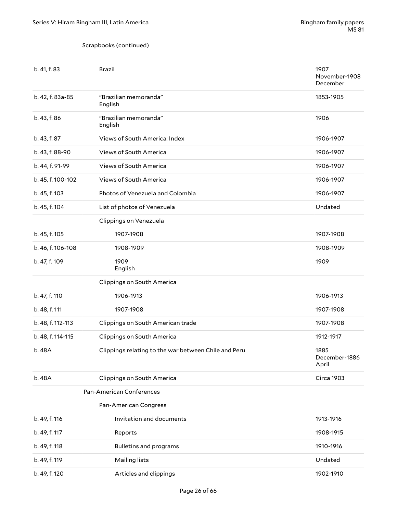#### Scrapbooks (continued)

| b. 41, f. 83      | <b>Brazil</b>                                        | 1907<br>November-1908<br>December |
|-------------------|------------------------------------------------------|-----------------------------------|
| b. 42, f. 83a-85  | "Brazilian memoranda"<br>English                     | 1853-1905                         |
| b. 43, f. 86      | "Brazilian memoranda"<br>English                     | 1906                              |
| b. 43, f. 87      | Views of South America: Index                        | 1906-1907                         |
| b. 43, f. 88-90   | Views of South America                               | 1906-1907                         |
| b. 44, f. 91-99   | Views of South America                               | 1906-1907                         |
| b. 45, f. 100-102 | Views of South America                               | 1906-1907                         |
| b. 45, f. 103     | Photos of Venezuela and Colombia                     | 1906-1907                         |
| b. 45, f. 104     | List of photos of Venezuela                          | Undated                           |
|                   | Clippings on Venezuela                               |                                   |
| b. 45, f. 105     | 1907-1908                                            | 1907-1908                         |
| b. 46, f. 106-108 | 1908-1909                                            | 1908-1909                         |
| b. 47, f. 109     | 1909<br>English                                      | 1909                              |
|                   | Clippings on South America                           |                                   |
| b. 47, f. 110     | 1906-1913                                            | 1906-1913                         |
| b. 48, f. 111     | 1907-1908                                            | 1907-1908                         |
| b. 48, f. 112-113 | Clippings on South American trade                    | 1907-1908                         |
| b. 48, f. 114-115 | Clippings on South America                           | 1912-1917                         |
| b. 48A            | Clippings relating to the war between Chile and Peru | 1885<br>December-1886<br>April    |
| b. 48A            | Clippings on South America                           | Circa 1903                        |
|                   | Pan-American Conferences                             |                                   |
|                   | Pan-American Congress                                |                                   |
| b. 49, f. 116     | Invitation and documents                             | 1913-1916                         |
| b. 49, f. 117     | Reports                                              | 1908-1915                         |
| b. 49, f. 118     | <b>Bulletins and programs</b>                        | 1910-1916                         |
| b. 49, f. 119     | Mailing lists                                        | Undated                           |
| b. 49, f. 120     | Articles and clippings                               | 1902-1910                         |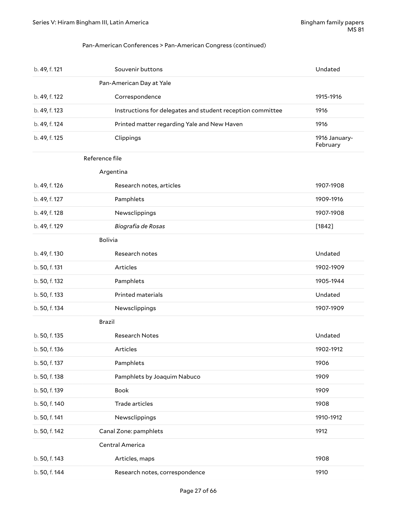#### Pan-American Conferences > Pan-American Congress (continued)

| b. 49, f. 121  | Souvenir buttons                                           | Undated                   |
|----------------|------------------------------------------------------------|---------------------------|
|                | Pan-American Day at Yale                                   |                           |
| b. 49, f. 122  | Correspondence                                             | 1915-1916                 |
| b. 49, f. 123  | Instructions for delegates and student reception committee | 1916                      |
| b. 49, f. 124  | Printed matter regarding Yale and New Haven                | 1916                      |
| b. 49, f. 125  | Clippings                                                  | 1916 January-<br>February |
| Reference file |                                                            |                           |
|                | Argentina                                                  |                           |
| b. 49, f. 126  | Research notes, articles                                   | 1907-1908                 |
| b. 49, f. 127  | Pamphlets                                                  | 1909-1916                 |
| b. 49, f. 128  | Newsclippings                                              | 1907-1908                 |
| b. 49, f. 129  | Biografia de Rosas                                         | $[1842]$                  |
| <b>Bolivia</b> |                                                            |                           |
| b. 49, f. 130  | Research notes                                             | Undated                   |
| b. 50, f. 131  | Articles                                                   | 1902-1909                 |
| b. 50, f. 132  | Pamphlets                                                  | 1905-1944                 |
| b. 50, f. 133  | Printed materials                                          | Undated                   |
| b. 50, f. 134  | Newsclippings                                              | 1907-1909                 |
| Brazil         |                                                            |                           |
| b. 50, f. 135  | <b>Research Notes</b>                                      | Undated                   |
| b. 50, f. 136  | Articles                                                   | 1902-1912                 |
| b. 50, f. 137  | Pamphlets                                                  | 1906                      |
| b. 50, f. 138  | Pamphlets by Joaquim Nabuco                                | 1909                      |
| b. 50, f. 139  | Book                                                       | 1909                      |
| b. 50, f. 140  | Trade articles                                             | 1908                      |
| b. 50, f. 141  | Newsclippings                                              | 1910-1912                 |
| b. 50, f. 142  | Canal Zone: pamphlets                                      | 1912                      |
|                | Central America                                            |                           |
| b. 50, f. 143  | Articles, maps                                             | 1908                      |
| b. 50, f. 144  | Research notes, correspondence                             | 1910                      |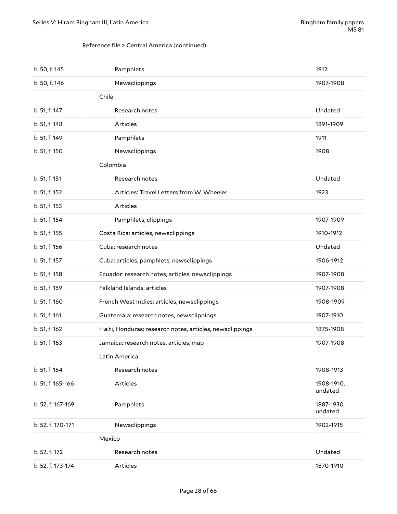#### Reference file > Central America (continued)

| b. 50, f. 145     | Pamphlets                                                | 1912                  |
|-------------------|----------------------------------------------------------|-----------------------|
| b. 50, f. 146     | Newsclippings                                            | 1907-1908             |
|                   | Chile                                                    |                       |
| b. 51, f. 147     | Research notes                                           | Undated               |
| b. 51, f. 148     | Articles                                                 | 1891-1909             |
| b. 51, f. 149     | Pamphlets                                                | 1911                  |
| b. 51, f. 150     | Newsclippings                                            | 1908                  |
|                   | Colombia                                                 |                       |
| b. 51, f. 151     | Research notes                                           | Undated               |
| b. 51, f. 152     | Articles: Travel Letters from W. Wheeler                 | 1923                  |
| b. 51, f. 153     | Articles                                                 |                       |
| b. 51, f. 154     | Pamphlets, clippings                                     | 1907-1909             |
| b. 51, f. 155     | Costa Rica: articles, newsclippings                      | 1910-1912             |
| b. 51, f. 156     | Cuba: research notes                                     | Undated               |
| b. 51, f. 157     | Cuba: articles, pamphlets, newsclippings                 | 1906-1912             |
| b. 51, f. 158     | Ecuador: research notes, articles, newsclippings         | 1907-1908             |
| b. 51, f. 159     | Falkland Islands: articles                               | 1907-1908             |
| b. 51, f. 160     | French West Indies: articles, newsclippings              | 1908-1909             |
| b. 51, f. 161     | Guatemala: research notes, newsclippings                 | 1907-1910             |
| b. 51, f. 162     | Haiti, Honduras: research notes, articles, newsclippings | 1875-1908             |
| b. 51, f. 163     | Jamaica: research notes, articles, map                   | 1907-1908             |
|                   | Latin America                                            |                       |
| b. 51, f. 164     | Research notes                                           | 1908-1913             |
| b. 51, f. 165-166 | Articles                                                 | 1908-1910,<br>undated |
| b. 52, f. 167-169 | Pamphlets                                                | 1887-1930,<br>undated |
| b. 52, f. 170-171 | Newsclippings                                            | 1902-1915             |
|                   | Mexico                                                   |                       |
| b. 52, f. 172     | Research notes                                           | Undated               |
| b. 52, f. 173-174 | Articles                                                 | 1870-1910             |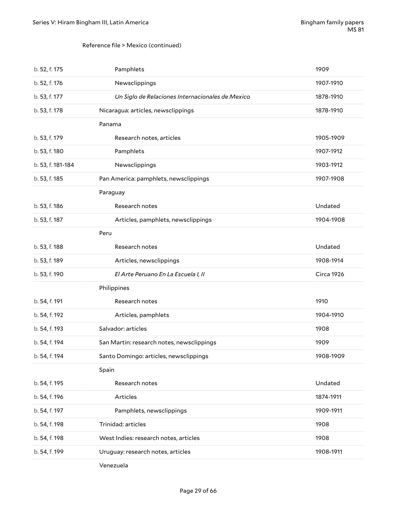#### Reference file > Mexico (continued)

| b. 52, f. 175     | Pamphlets                                        | 1909              |
|-------------------|--------------------------------------------------|-------------------|
| b. 52, f. 176     | Newsclippings                                    | 1907-1910         |
| b. 53, f. 177     | Un Siglo de Relaciones Internacionales de Mexico | 1878-1910         |
| b. 53, f. 178     | Nicaragua: articles, newsclippings               | 1878-1910         |
|                   | Panama                                           |                   |
| b. 53, f. 179     | Research notes, articles                         | 1905-1909         |
| b. 53, f. 180     | Pamphlets                                        | 1907-1912         |
| b. 53, f. 181-184 | Newsclippings                                    | 1903-1912         |
| b. 53, f. 185     | Pan America: pamphlets, newsclippings            | 1907-1908         |
|                   | Paraguay                                         |                   |
| b. 53, f. 186     | Research notes                                   | Undated           |
| b. 53, f. 187     | Articles, pamphlets, newsclippings               | 1904-1908         |
|                   | Peru                                             |                   |
| b. 53, f. 188     | Research notes                                   | Undated           |
| b. 53, f. 189     | Articles, newsclippings                          | 1908-1914         |
| b. 53, f. 190     | El Arte Peruano En La Escuela I, II              | <b>Circa 1926</b> |
|                   | Philippines                                      |                   |
| b. 54, f. 191     | Research notes                                   | 1910              |
| b. 54, f. 192     | Articles, pamphlets                              | 1904-1910         |
| b. 54, f. 193     | Salvador: articles                               | 1908              |
| b. 54, f. 194     | San Martin: research notes, newsclippings        | 1909              |
| b. 54, f. 194     | Santo Domingo: articles, newsclippings           | 1908-1909         |
|                   | Spain                                            |                   |
| b. 54, f. 195     | Research notes                                   | Undated           |
| b. 54, f. 196     | Articles                                         | 1874-1911         |
| b. 54, f. 197     | Pamphlets, newsclippings                         | 1909-1911         |
| b. 54, f. 198     | Trinidad: articles                               | 1908              |
| b. 54, f. 198     | West Indies: research notes, articles            | 1908              |
| b. 54, f. 199     | Uruguay: research notes, articles                | 1908-1911         |
|                   | Venezuela                                        |                   |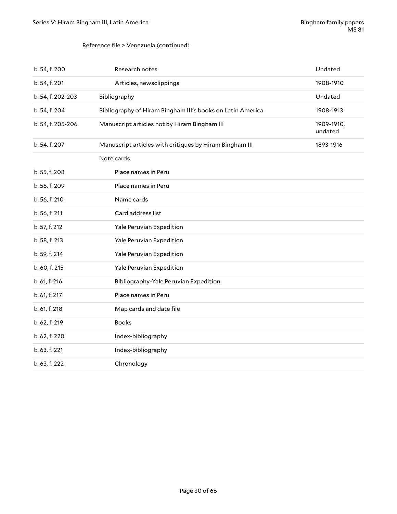#### Reference file > Venezuela (continued)

| b. 54, f. 200     | Research notes                                             | Undated               |
|-------------------|------------------------------------------------------------|-----------------------|
| b. 54, f. 201     | Articles, newsclippings                                    | 1908-1910             |
| b. 54, f. 202-203 | Bibliography                                               | Undated               |
| b. 54, f. 204     | Bibliography of Hiram Bingham III's books on Latin America | 1908-1913             |
| b. 54, f. 205-206 | Manuscript articles not by Hiram Bingham III               | 1909-1910,<br>undated |
| b. 54, f. 207     | Manuscript articles with critiques by Hiram Bingham III    | 1893-1916             |
|                   | Note cards                                                 |                       |
| b. 55, f. 208     | Place names in Peru                                        |                       |
| b. 56, f. 209     | Place names in Peru                                        |                       |
| b. 56, f. 210     | Name cards                                                 |                       |
| b. 56, f. 211     | Card address list                                          |                       |
| b. 57, f. 212     | Yale Peruvian Expedition                                   |                       |
| b. 58, f. 213     | Yale Peruvian Expedition                                   |                       |
| b. 59, f. 214     | Yale Peruvian Expedition                                   |                       |
| b. 60, f. 215     | Yale Peruvian Expedition                                   |                       |
| b. 61, f. 216     | Bibliography-Yale Peruvian Expedition                      |                       |
| b. 61, f. 217     | Place names in Peru                                        |                       |
| b. 61, f. 218     | Map cards and date file                                    |                       |
| b. 62, f. 219     | <b>Books</b>                                               |                       |
| b. 62, f. 220     | Index-bibliography                                         |                       |
| b. 63, f. 221     | Index-bibliography                                         |                       |
| b. 63, f. 222     | Chronology                                                 |                       |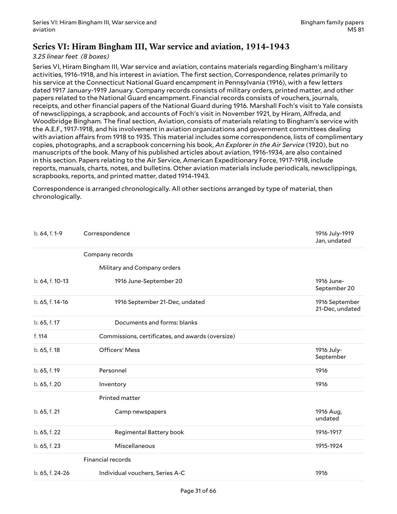### <span id="page-30-0"></span>**Series VI: Hiram Bingham III, War service and aviation, 1914-1943**

#### *3.25 linear feet (8 boxes)*

Series VI, Hiram Bingham III, War service and aviation, contains materials regarding Bingham's military activities, 1916-1918, and his interest in aviation. The first section, Correspondence, relates primarily to his service at the Connecticut National Guard encampment in Pennsylvania (1916), with a few letters dated 1917 January-1919 January. Company records consists of military orders, printed matter, and other papers related to the National Guard encampment. Financial records consists of vouchers, journals, receipts, and other financial papers of the National Guard during 1916. Marshall Foch's visit to Yale consists of newsclippings, a scrapbook, and accounts of Foch's visit in November 1921, by Hiram, Alfreda, and Woodbridge Bingham. The final section, Aviation, consists of materials relating to Bingham's service with the A.E.F., 1917-1918, and his involvement in aviation organizations and government committees dealing with aviation affairs from 1918 to 1935. This material includes some correspondence, lists of complimentary copies, photographs, and a scrapbook concerning his book, *An Explorer in the Air Service* (1920), but no manuscripts of the book. Many of his published articles about aviation, 1916-1934, are also contained in this section. Papers relating to the Air Service, American Expeditionary Force, 1917-1918, include reports, manuals, charts, notes, and bulletins. Other aviation materials include periodicals, newsclippings, scrapbooks, reports, and printed matter, dated 1914-1943.

Correspondence is arranged chronologically. All other sections arranged by type of material, then chronologically.

| b. 64, f. 1-9   | Correspondence                                   | 1916 July-1919<br>Jan, undated    |
|-----------------|--------------------------------------------------|-----------------------------------|
|                 | Company records                                  |                                   |
|                 | Military and Company orders                      |                                   |
| b. 64, f. 10-13 | 1916 June-September 20                           | 1916 June-<br>September 20        |
| b. 65, f. 14-16 | 1916 September 21-Dec, undated                   | 1916 September<br>21-Dec, undated |
| b. 65, f. 17    | Documents and forms: blanks                      |                                   |
| f. 114          | Commissions, certificates, and awards (oversize) |                                   |
| b. 65, f. 18    | <b>Officers' Mess</b>                            | 1916 July-<br>September           |
| b. 65, f. 19    | Personnel                                        | 1916                              |
| b. 65, f. 20    | Inventory                                        | 1916                              |
|                 | Printed matter                                   |                                   |
| b. 65, f. 21    | Camp newspapers                                  | 1916 Aug,<br>undated              |
| b. 65, f. 22    | Regimental Battery book                          | 1916-1917                         |
| b. 65, f. 23    | Miscellaneous                                    | 1915-1924                         |
|                 | <b>Financial records</b>                         |                                   |
| b. 65, f. 24-26 | Individual vouchers, Series A-C                  | 1916                              |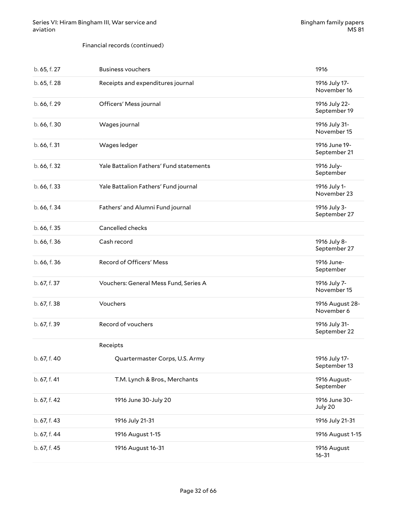#### Financial records (continued)

| b. 65, f. 27 | <b>Business vouchers</b>                | 1916                          |
|--------------|-----------------------------------------|-------------------------------|
| b. 65, f. 28 | Receipts and expenditures journal       | 1916 July 17-<br>November 16  |
| b. 66, f. 29 | Officers' Mess journal                  | 1916 July 22-<br>September 19 |
| b. 66, f. 30 | Wages journal                           | 1916 July 31-<br>November 15  |
| b. 66, f. 31 | Wages ledger                            | 1916 June 19-<br>September 21 |
| b. 66, f. 32 | Yale Battalion Fathers' Fund statements | 1916 July-<br>September       |
| b. 66, f. 33 | Yale Battalion Fathers' Fund journal    | 1916 July 1-<br>November 23   |
| b. 66, f. 34 | Fathers' and Alumni Fund journal        | 1916 July 3-<br>September 27  |
| b. 66, f. 35 | Cancelled checks                        |                               |
| b. 66, f. 36 | Cash record                             | 1916 July 8-<br>September 27  |
| b. 66, f. 36 | Record of Officers' Mess                | 1916 June-<br>September       |
| b. 67, f. 37 | Vouchers: General Mess Fund, Series A   | 1916 July 7-<br>November 15   |
| b. 67, f. 38 | Vouchers                                | 1916 August 28-<br>November 6 |
| b. 67, f. 39 | Record of vouchers                      | 1916 July 31-<br>September 22 |
|              | Receipts                                |                               |
| b. 67, f. 40 | Quartermaster Corps, U.S. Army          | 1916 July 17-<br>September 13 |
| b. 67, f. 41 | T.M. Lynch & Bros., Merchants           | 1916 August-<br>September     |
| b. 67, f. 42 | 1916 June 30-July 20                    | 1916 June 30-<br>July 20      |
| b. 67, f. 43 | 1916 July 21-31                         | 1916 July 21-31               |
| b. 67, f. 44 | 1916 August 1-15                        | 1916 August 1-15              |
| b. 67, f. 45 | 1916 August 16-31                       | 1916 August<br>$16 - 31$      |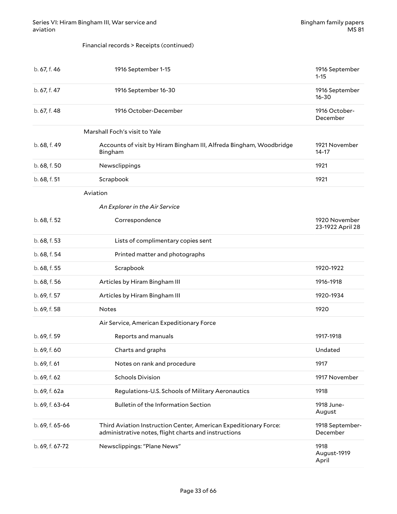#### Financial records > Receipts (continued)

| b. 67, f. 46    | 1916 September 1-15                                                                                                      | 1916 September<br>$1 - 15$        |
|-----------------|--------------------------------------------------------------------------------------------------------------------------|-----------------------------------|
| b. 67, f. 47    | 1916 September 16-30                                                                                                     | 1916 September<br>$16 - 30$       |
| b. 67, f. 48    | 1916 October-December                                                                                                    | 1916 October-<br>December         |
|                 | Marshall Foch's visit to Yale                                                                                            |                                   |
| b. 68, f. 49    | Accounts of visit by Hiram Bingham III, Alfreda Bingham, Woodbridge<br>Bingham                                           | 1921 November<br>$14 - 17$        |
| b. 68, f. 50    | Newsclippings                                                                                                            | 1921                              |
| b. 68, f. 51    | Scrapbook                                                                                                                | 1921                              |
|                 | Aviation                                                                                                                 |                                   |
|                 | An Explorer in the Air Service                                                                                           |                                   |
| b. 68, f. 52    | Correspondence                                                                                                           | 1920 November<br>23-1922 April 28 |
| b. 68, f. 53    | Lists of complimentary copies sent                                                                                       |                                   |
| b. 68, f. 54    | Printed matter and photographs                                                                                           |                                   |
| b. 68, f. 55    | Scrapbook                                                                                                                | 1920-1922                         |
| b. 68, f. 56    | Articles by Hiram Bingham III                                                                                            | 1916-1918                         |
| b. 69, f. 57    | Articles by Hiram Bingham III                                                                                            | 1920-1934                         |
| b. 69, f. 58    | Notes                                                                                                                    | 1920                              |
|                 | Air Service, American Expeditionary Force                                                                                |                                   |
| b. 69, f. 59    | Reports and manuals                                                                                                      | 1917-1918                         |
| b. 69, f. 60    | Charts and graphs                                                                                                        | Undated                           |
| b. 69, f. 61    | Notes on rank and procedure                                                                                              | 1917                              |
| b. 69, f. 62    | <b>Schools Division</b>                                                                                                  | 1917 November                     |
| b. 69, f. 62a   | Regulations-U.S. Schools of Military Aeronautics                                                                         | 1918                              |
| b. 69, f. 63-64 | <b>Bulletin of the Information Section</b>                                                                               | 1918 June-<br>August              |
| b. 69, f. 65-66 | Third Aviation Instruction Center, American Expeditionary Force:<br>administrative notes, flight charts and instructions | 1918 September-<br>December       |
| b. 69, f. 67-72 | Newsclippings: "Plane News"                                                                                              | 1918<br>August-1919<br>April      |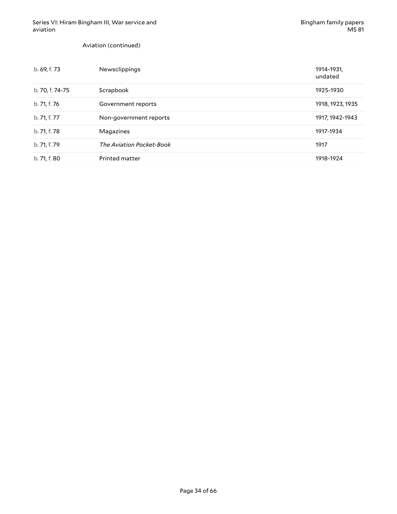Aviation (continued)

| b. 69, f. 73    | Newsclippings            | 1914-1931,<br>undated |
|-----------------|--------------------------|-----------------------|
| b. 70, f. 74-75 | Scrapbook                | 1925-1930             |
| b. 71, f. 76    | Government reports       | 1918, 1923, 1935      |
| b. 71, f. 77    | Non-government reports   | 1917, 1942-1943       |
| b. 71, f. 78    | Magazines                | 1917-1934             |
| b. 71, f. 79    | The Aviation Pocket-Book | 1917                  |
| b. 71, f. 80    | Printed matter           | 1918-1924             |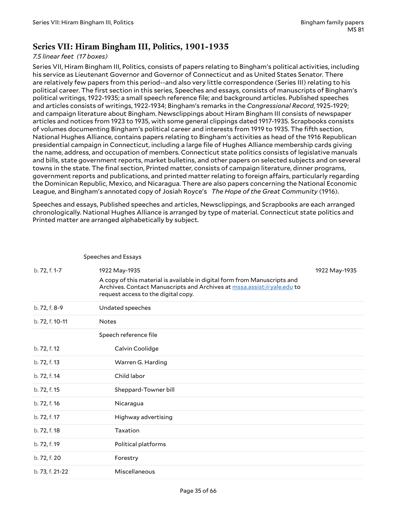### <span id="page-34-0"></span>**Series VII: Hiram Bingham III, Politics, 1901-1935**

#### *7.5 linear feet (17 boxes)*

Series VII, Hiram Bingham III, Politics, consists of papers relating to Bingham's political activities, including his service as Lieutenant Governor and Governor of Connecticut and as United States Senator. There are relatively few papers from this period--and also very little correspondence (Series III) relating to his political career. The first section in this series, Speeches and essays, consists of manuscripts of Bingham's political writings, 1922-1935; a small speech reference file; and background articles. Published speeches and articles consists of writings, 1922-1934; Bingham's remarks in the *Congressional Record*, 1925-1929; and campaign literature about Bingham. Newsclippings about Hiram Bingham III consists of newspaper articles and notices from 1923 to 1935, with some general clippings dated 1917-1935. Scrapbooks consists of volumes documenting Bingham's political career and interests from 1919 to 1935. The fifth section, National Hughes Alliance, contains papers relating to Bingham's activities as head of the 1916 Republican presidential campaign in Connecticut, including a large file of Hughes Alliance membership cards giving the name, address, and occupation of members. Connecticut state politics consists of legislative manuals and bills, state government reports, market bulletins, and other papers on selected subjects and on several towns in the state. The final section, Printed matter, consists of campaign literature, dinner programs, government reports and publications, and printed matter relating to foreign affairs, particularly regarding the Dominican Republic, Mexico, and Nicaragua. There are also papers concerning the National Economic League, and Bingham's annotated copy of Josiah Royce's *The Hope of the Great Community* (1916).

Speeches and essays, Published speeches and articles, Newsclippings, and Scrapbooks are each arranged chronologically. National Hughes Alliance is arranged by type of material. Connecticut state politics and Printed matter are arranged alphabetically by subject.

|                 | Speeches and Essays                                                                                                                                                                       |               |
|-----------------|-------------------------------------------------------------------------------------------------------------------------------------------------------------------------------------------|---------------|
| b. 72, f. 1-7   | 1922 May-1935                                                                                                                                                                             | 1922 May-1935 |
|                 | A copy of this material is available in digital form from Manuscripts and<br>Archives. Contact Manuscripts and Archives at mssa.assist@yale.edu to<br>request access to the digital copy. |               |
| b. 72, f. 8-9   | Undated speeches                                                                                                                                                                          |               |
| b. 72, f. 10-11 | <b>Notes</b>                                                                                                                                                                              |               |
|                 | Speech reference file                                                                                                                                                                     |               |
| b. 72, f. 12    | Calvin Coolidge                                                                                                                                                                           |               |
| b. 72, f. 13    | Warren G. Harding                                                                                                                                                                         |               |
| b. 72, f. 14    | Child labor                                                                                                                                                                               |               |
| b. 72, f. 15    | Sheppard-Towner bill                                                                                                                                                                      |               |
| b. 72, f. 16    | Nicaragua                                                                                                                                                                                 |               |
| b. 72, f. 17    | Highway advertising                                                                                                                                                                       |               |
| b. 72, f. 18    | Taxation                                                                                                                                                                                  |               |
| b. 72, f. 19    | Political platforms                                                                                                                                                                       |               |
| b. 72, f. 20    | Forestry                                                                                                                                                                                  |               |
| b. 73, f. 21-22 | Miscellaneous                                                                                                                                                                             |               |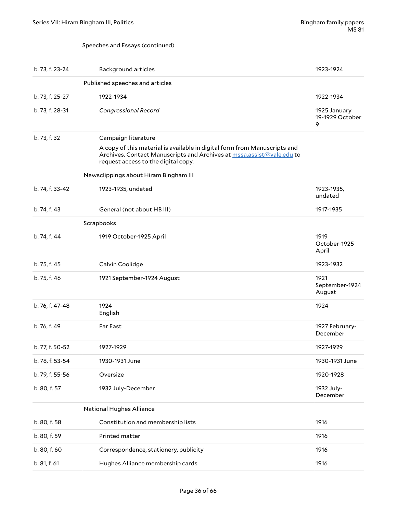#### Speeches and Essays (continued)

| b. 73, f. 23-24 | <b>Background articles</b>                                                                                                                                                                                       | 1923-1924                            |
|-----------------|------------------------------------------------------------------------------------------------------------------------------------------------------------------------------------------------------------------|--------------------------------------|
|                 | Published speeches and articles                                                                                                                                                                                  |                                      |
| b. 73, f. 25-27 | 1922-1934                                                                                                                                                                                                        | 1922-1934                            |
| b. 73, f. 28-31 | Congressional Record                                                                                                                                                                                             | 1925 January<br>19-1929 October<br>9 |
| b. 73, f. 32    | Campaign literature<br>A copy of this material is available in digital form from Manuscripts and<br>Archives. Contact Manuscripts and Archives at mssa.assist@yale.edu to<br>request access to the digital copy. |                                      |
|                 | Newsclippings about Hiram Bingham III                                                                                                                                                                            |                                      |
| b. 74, f. 33-42 | 1923-1935, undated                                                                                                                                                                                               | 1923-1935,<br>undated                |
| b. 74, f. 43    | General (not about HB III)                                                                                                                                                                                       | 1917-1935                            |
|                 | Scrapbooks                                                                                                                                                                                                       |                                      |
| b. 74, f. 44    | 1919 October-1925 April                                                                                                                                                                                          | 1919<br>October-1925<br>April        |
| b. 75, f. 45    | Calvin Coolidge                                                                                                                                                                                                  | 1923-1932                            |
| b. 75, f. 46    | 1921 September-1924 August                                                                                                                                                                                       | 1921<br>September-1924<br>August     |
| b. 76, f. 47-48 | 1924<br>English                                                                                                                                                                                                  | 1924                                 |
| b. 76, f. 49    | Far East                                                                                                                                                                                                         | 1927 February-<br>December           |
| b. 77, f. 50-52 | 1927-1929                                                                                                                                                                                                        | 1927-1929                            |
| b. 78, f. 53-54 | 1930-1931 June                                                                                                                                                                                                   | 1930-1931 June                       |
| b. 79, f. 55-56 | Oversize                                                                                                                                                                                                         | 1920-1928                            |
| b. 80, f. 57    | 1932 July-December                                                                                                                                                                                               | 1932 July-<br>December               |
|                 | <b>National Hughes Alliance</b>                                                                                                                                                                                  |                                      |
| b. 80, f. 58    | Constitution and membership lists                                                                                                                                                                                | 1916                                 |
| b. 80, f. 59    | Printed matter                                                                                                                                                                                                   | 1916                                 |
| b. 80, f. 60    | Correspondence, stationery, publicity                                                                                                                                                                            | 1916                                 |
| b. 81, f. 61    | Hughes Alliance membership cards                                                                                                                                                                                 | 1916                                 |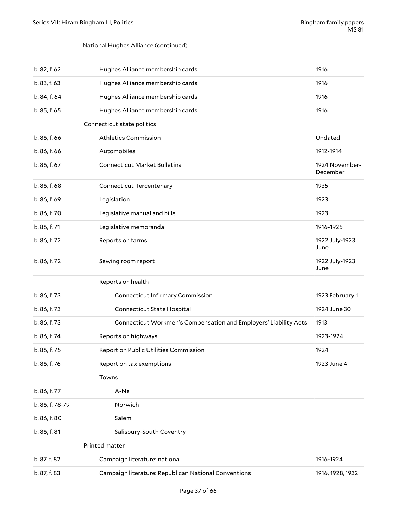#### National Hughes Alliance (continued)

| b. 82, f. 62    | Hughes Alliance membership cards                                 | 1916                       |
|-----------------|------------------------------------------------------------------|----------------------------|
| b. 83, f. 63    | Hughes Alliance membership cards                                 | 1916                       |
| b. 84, f. 64    | Hughes Alliance membership cards                                 | 1916                       |
| b. 85, f. 65    | Hughes Alliance membership cards                                 | 1916                       |
|                 | Connecticut state politics                                       |                            |
| b. 86, f. 66    | <b>Athletics Commission</b>                                      | Undated                    |
| b. 86, f. 66    | Automobiles                                                      | 1912-1914                  |
| b. 86, f. 67    | <b>Connecticut Market Bulletins</b>                              | 1924 November-<br>December |
| b. 86, f. 68    | <b>Connecticut Tercentenary</b>                                  | 1935                       |
| b. 86, f. 69    | Legislation                                                      | 1923                       |
| b. 86, f. 70    | Legislative manual and bills                                     | 1923                       |
| b. 86, f. 71    | Legislative memoranda                                            | 1916-1925                  |
| b. 86, f. 72    | Reports on farms                                                 | 1922 July-1923<br>June     |
| b. 86, f. 72    | Sewing room report                                               | 1922 July-1923<br>June     |
|                 | Reports on health                                                |                            |
| b. 86, f. 73    | <b>Connecticut Infirmary Commission</b>                          | 1923 February 1            |
| b. 86, f. 73    | Connecticut State Hospital                                       | 1924 June 30               |
| b. 86, f. 73    | Connecticut Workmen's Compensation and Employers' Liability Acts | 1913                       |
|                 |                                                                  |                            |
| b. 86, f. 74    | Reports on highways                                              | 1923-1924                  |
| b. 86, f. 75    | Report on Public Utilities Commission                            | 1924                       |
| b. 86, f. 76    | Report on tax exemptions                                         | 1923 June 4                |
|                 | Towns                                                            |                            |
| b. 86, f. 77    | A-Ne                                                             |                            |
| b. 86, f. 78-79 | Norwich                                                          |                            |
| b. 86, f. 80    | Salem                                                            |                            |
| b. 86, f. 81    | Salisbury-South Coventry                                         |                            |
|                 | Printed matter                                                   |                            |
| b. 87, f. 82    | Campaign literature: national                                    | 1916-1924                  |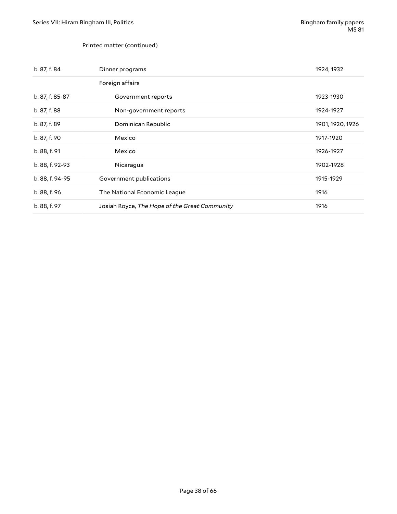#### Printed matter (continued)

| b. 87, f. 84    | Dinner programs                               | 1924, 1932       |
|-----------------|-----------------------------------------------|------------------|
|                 | Foreign affairs                               |                  |
| b. 87, f. 85-87 | Government reports                            | 1923-1930        |
| b. 87, f. 88    | Non-government reports                        | 1924-1927        |
| b. 87, f. 89    | Dominican Republic                            | 1901, 1920, 1926 |
| b. 87, f. 90    | Mexico                                        | 1917-1920        |
| b. 88, f. 91    | Mexico                                        | 1926-1927        |
| b. 88, f. 92-93 | Nicaragua                                     | 1902-1928        |
| b. 88, f. 94-95 | Government publications                       | 1915-1929        |
| b. 88, f. 96    | The National Economic League                  | 1916             |
| b. 88, f. 97    | Josiah Royce, The Hope of the Great Community | 1916             |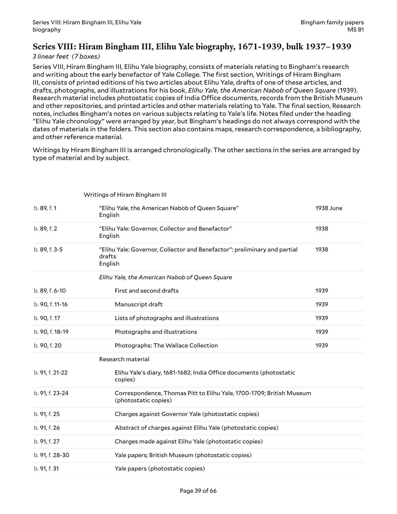### <span id="page-38-0"></span>**Series VIII: Hiram Bingham III, Elihu Yale biography, 1671-1939, bulk 1937–1939**

#### *3 linear feet (7 boxes)*

Series VIII, Hiram Bingham III, Elihu Yale biography, consists of materials relating to Bingham's research and writing about the early benefactor of Yale College. The first section, Writings of Hiram Bingham III, consists of printed editions of his two articles about Elihu Yale, drafts of one of these articles, and drafts, photographs, and illustrations for his book, *Elihu Yale, the American Nabob of Queen Square* (1939). Research material includes photostatic copies of India Office documents, records from the British Museum and other repositories, and printed articles and other materials relating to Yale. The final section, Research notes, includes Bingham's notes on various subjects relating to Yale's life. Notes filed under the heading "Elihu Yale chronology" were arranged by year, but Bingham's headings do not always correspond with the dates of materials in the folders. This section also contains maps, research correspondence, a bibliography, and other reference material.

Writings by Hiram Bingham III is arranged chronologically. The other sections in the series are arranged by type of material and by subject.

|                 | Writings of Hiram Bingham III                                                                  |           |
|-----------------|------------------------------------------------------------------------------------------------|-----------|
| b. 89, f. 1     | "Elihu Yale, the American Nabob of Queen Square"<br>English                                    | 1938 June |
| b. 89, f. 2     | "Elihu Yale: Governor, Collector and Benefactor"<br>English                                    | 1938      |
| b. 89, f. 3-5   | "Elihu Yale: Governor, Collector and Benefactor": preliminary and partial<br>drafts<br>English | 1938      |
|                 | Elihu Yale, the American Nabob of Queen Square                                                 |           |
| b. 89, f. 6-10  | First and second drafts                                                                        | 1939      |
| b. 90, f. 11-16 | Manuscript draft                                                                               | 1939      |
| b. 90, f. 17    | Lists of photographs and illustrations                                                         | 1939      |
| b. 90, f. 18-19 | Photographs and illustrations                                                                  | 1939      |
| b. 90, f. 20    | Photographs: The Wallace Collection                                                            | 1939      |
|                 | Research material                                                                              |           |
| b. 91, f. 21-22 | Elihu Yale's diary, 1681-1682; India Office documents (photostatic<br>copies)                  |           |
| b. 91, f. 23-24 | Correspondence, Thomas Pitt to Elihu Yale, 1700-1709; British Museum<br>(photostatic copies)   |           |
| b. 91, f. 25    | Charges against Governor Yale (photostatic copies)                                             |           |
| b. 91, f. 26    | Abstract of charges against Elihu Yale (photostatic copies)                                    |           |
| b. 91, f. 27    | Charges made against Elihu Yale (photostatic copies)                                           |           |
| b. 91, f. 28-30 | Yale papers; British Museum (photostatic copies)                                               |           |
| b. 91, f. 31    | Yale papers (photostatic copies)                                                               |           |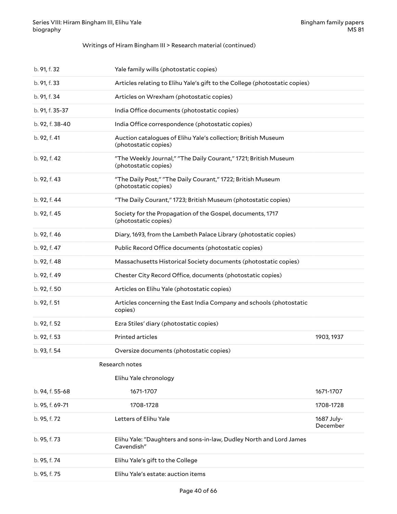#### Writings of Hiram Bingham III > Research material (continued)

| b. 91, f. 32    | Yale family wills (photostatic copies)                                                  |                        |
|-----------------|-----------------------------------------------------------------------------------------|------------------------|
| b. 91, f. 33    | Articles relating to Elihu Yale's gift to the College (photostatic copies)              |                        |
| b. 91, f. 34    | Articles on Wrexham (photostatic copies)                                                |                        |
| b. 91, f. 35-37 | India Office documents (photostatic copies)                                             |                        |
| b. 92, f. 38-40 | India Office correspondence (photostatic copies)                                        |                        |
| b. 92, f. 41    | Auction catalogues of Elihu Yale's collection; British Museum<br>(photostatic copies)   |                        |
| b. 92, f. 42    | "The Weekly Journal," "The Daily Courant," 1721; British Museum<br>(photostatic copies) |                        |
| b. 92, f. 43    | "The Daily Post," "The Daily Courant," 1722; British Museum<br>(photostatic copies)     |                        |
| b. 92, f. 44    | "The Daily Courant," 1723; British Museum (photostatic copies)                          |                        |
| b. 92, f. 45    | Society for the Propagation of the Gospel, documents, 1717<br>(photostatic copies)      |                        |
| b. 92, f. 46    | Diary, 1693, from the Lambeth Palace Library (photostatic copies)                       |                        |
| b. 92, f. 47    | Public Record Office documents (photostatic copies)                                     |                        |
| b. 92, f. 48    | Massachusetts Historical Society documents (photostatic copies)                         |                        |
| b. 92, f. 49    | Chester City Record Office, documents (photostatic copies)                              |                        |
| b. 92, f. 50    | Articles on Elihu Yale (photostatic copies)                                             |                        |
| b. 92, f. 51    | Articles concerning the East India Company and schools (photostatic<br>copies)          |                        |
| b. 92, f. 52    | Ezra Stiles' diary (photostatic copies)                                                 |                        |
| b. 92, f. 53    | Printed articles                                                                        | 1903, 1937             |
| b. 93, f. 54    | Oversize documents (photostatic copies)                                                 |                        |
|                 | Research notes                                                                          |                        |
|                 | Elihu Yale chronology                                                                   |                        |
| b. 94, f. 55-68 | 1671-1707                                                                               | 1671-1707              |
| b. 95, f. 69-71 | 1708-1728                                                                               | 1708-1728              |
| b. 95, f. 72    | Letters of Elihu Yale                                                                   | 1687 July-<br>December |
| b. 95, f. 73    | Elihu Yale: "Daughters and sons-in-law, Dudley North and Lord James<br>Cavendish"       |                        |
| b. 95, f. 74    | Elihu Yale's gift to the College                                                        |                        |
| b. 95, f. 75    | Elihu Yale's estate: auction items                                                      |                        |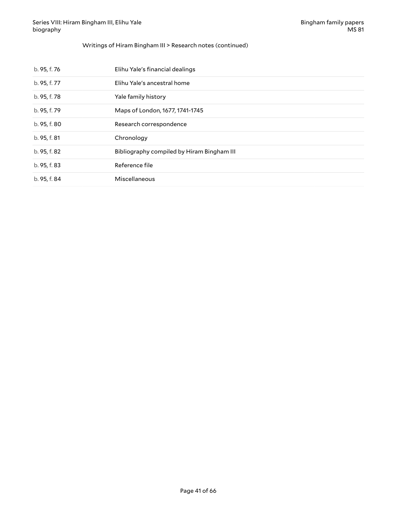#### Writings of Hiram Bingham III > Research notes (continued)

| b. 95, f. 76 | Elihu Yale's financial dealings            |
|--------------|--------------------------------------------|
| b. 95, f. 77 | Elihu Yale's ancestral home                |
| b. 95, f. 78 | Yale family history                        |
| b. 95, f. 79 | Maps of London, 1677, 1741-1745            |
| b. 95, f. 80 | Research correspondence                    |
| b. 95, f. 81 | Chronology                                 |
| b. 95, f. 82 | Bibliography compiled by Hiram Bingham III |
| b. 95, f. 83 | Reference file                             |
| b. 95, f. 84 | Miscellaneous                              |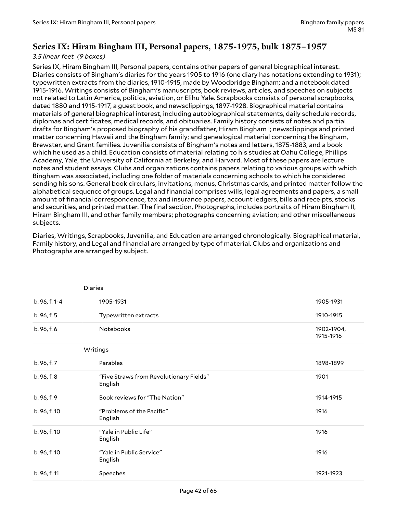### <span id="page-41-0"></span>**Series IX: Hiram Bingham III, Personal papers, 1875-1975, bulk 1875–1957**

#### *3.5 linear feet (9 boxes)*

Series IX, Hiram Bingham III, Personal papers, contains other papers of general biographical interest. Diaries consists of Bingham's diaries for the years 1905 to 1916 (one diary has notations extending to 1931); typewritten extracts from the diaries, 1910-1915, made by Woodbridge Bingham; and a notebook dated 1915-1916. Writings consists of Bingham's manuscripts, book reviews, articles, and speeches on subjects not related to Latin America, politics, aviation, or Elihu Yale. Scrapbooks consists of personal scrapbooks, dated 1880 and 1915-1917, a guest book, and newsclippings, 1897-1928. Biographical material contains materials of general biographical interest, including autobiographical statements, daily schedule records, diplomas and certificates, medical records, and obituaries. Family history consists of notes and partial drafts for Bingham's proposed biography of his grandfather, Hiram Bingham I; newsclippings and printed matter concerning Hawaii and the Bingham family; and genealogical material concerning the Bingham, Brewster, and Grant families. Juvenilia consists of Bingham's notes and letters, 1875-1883, and a book which he used as a child. Education consists of material relating to his studies at Oahu College, Phillips Academy, Yale, the University of California at Berkeley, and Harvard. Most of these papers are lecture notes and student essays. Clubs and organizations contains papers relating to various groups with which Bingham was associated, including one folder of materials concerning schools to which he considered sending his sons. General book circulars, invitations, menus, Christmas cards, and printed matter follow the alphabetical sequence of groups. Legal and financial comprises wills, legal agreements and papers, a small amount of financial correspondence, tax and insurance papers, account ledgers, bills and receipts, stocks and securities, and printed matter. The final section, Photographs, includes portraits of Hiram Bingham II, Hiram Bingham III, and other family members; photographs concerning aviation; and other miscellaneous subjects.

Diaries, Writings, Scrapbooks, Juvenilia, and Education are arranged chronologically. Biographical material, Family history, and Legal and financial are arranged by type of material. Clubs and organizations and Photographs are arranged by subject.

|               | <b>Diaries</b>                                     |                         |
|---------------|----------------------------------------------------|-------------------------|
| b. 96, f. 1-4 | 1905-1931                                          | 1905-1931               |
| b. 96, f. 5   | Typewritten extracts                               | 1910-1915               |
| b. 96, f. 6   | Notebooks                                          | 1902-1904,<br>1915-1916 |
|               | Writings                                           |                         |
| b. 96, f. 7   | Parables                                           | 1898-1899               |
| b. 96, f. 8   | "Five Straws from Revolutionary Fields"<br>English | 1901                    |
| b. 96, f. 9   | Book reviews for "The Nation"                      | 1914-1915               |
| b. 96, f. 10  | "Problems of the Pacific"<br>English               | 1916                    |
| b. 96, f. 10  | "Yale in Public Life"<br>English                   | 1916                    |
| b. 96, f. 10  | "Yale in Public Service"<br>English                | 1916                    |
| b. 96, f. 11  | Speeches                                           | 1921-1923               |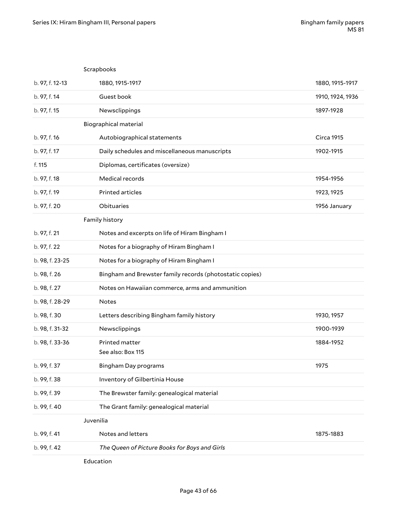|                 | Scrapbooks                                               |                   |
|-----------------|----------------------------------------------------------|-------------------|
| b. 97, f. 12-13 | 1880, 1915-1917                                          | 1880, 1915-1917   |
| b. 97, f. 14    | Guest book                                               | 1910, 1924, 1936  |
| b. 97, f. 15    | Newsclippings                                            | 1897-1928         |
|                 | <b>Biographical material</b>                             |                   |
| b. 97, f. 16    | Autobiographical statements                              | <b>Circa 1915</b> |
| b. 97, f. 17    | Daily schedules and miscellaneous manuscripts            | 1902-1915         |
| f. 115          | Diplomas, certificates (oversize)                        |                   |
| b. 97, f. 18    | Medical records                                          | 1954-1956         |
| b. 97, f. 19    | Printed articles                                         | 1923, 1925        |
| b. 97, f. 20    | Obituaries                                               | 1956 January      |
|                 | Family history                                           |                   |
| b. 97, f. 21    | Notes and excerpts on life of Hiram Bingham I            |                   |
| b. 97, f. 22    | Notes for a biography of Hiram Bingham I                 |                   |
| b. 98, f. 23-25 | Notes for a biography of Hiram Bingham I                 |                   |
| b. 98, f. 26    | Bingham and Brewster family records (photostatic copies) |                   |
| b. 98, f. 27    | Notes on Hawaiian commerce, arms and ammunition          |                   |
| b. 98, f. 28-29 | <b>Notes</b>                                             |                   |
| b. 98, f. 30    | Letters describing Bingham family history                | 1930, 1957        |
| b. 98, f. 31-32 | Newsclippings                                            | 1900-1939         |
| b. 98, f. 33-36 | Printed matter<br>See also: Box 115                      | 1884-1952         |
| b. 99, f. 37    | <b>Bingham Day programs</b>                              | 1975              |
| b. 99, f. 38    | Inventory of Gilbertinia House                           |                   |
| b. 99, f. 39    | The Brewster family: genealogical material               |                   |
| b. 99, f. 40    | The Grant family: genealogical material                  |                   |
|                 | Juvenilia                                                |                   |
| b. 99, f. 41    | Notes and letters                                        | 1875-1883         |
| b. 99, f. 42    | The Queen of Picture Books for Boys and Girls            |                   |
|                 |                                                          |                   |

Education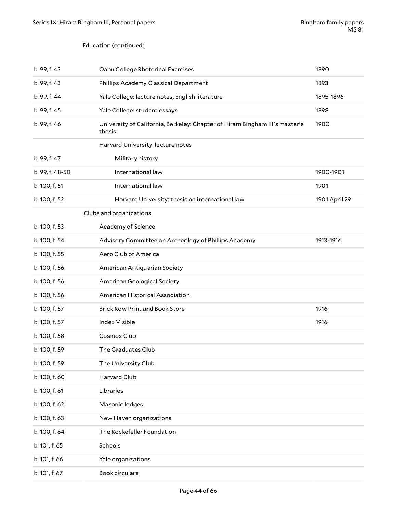#### Education (continued)

| b. 99, f. 43    | Oahu College Rhetorical Exercises                                                     | 1890          |
|-----------------|---------------------------------------------------------------------------------------|---------------|
| b. 99, f. 43    | Phillips Academy Classical Department                                                 | 1893          |
| b. 99, f. 44    | Yale College: lecture notes, English literature                                       | 1895-1896     |
| b. 99, f. 45    | Yale College: student essays                                                          | 1898          |
| b. 99, f. 46    | University of California, Berkeley: Chapter of Hiram Bingham III's master's<br>thesis | 1900          |
|                 | Harvard University: lecture notes                                                     |               |
| b. 99, f. 47    | Military history                                                                      |               |
| b. 99, f. 48-50 | International law                                                                     | 1900-1901     |
| b. 100, f. 51   | International law                                                                     | 1901          |
| b. 100, f. 52   | Harvard University: thesis on international law                                       | 1901 April 29 |
|                 | Clubs and organizations                                                               |               |
| b. 100, f. 53   | Academy of Science                                                                    |               |
| b. 100, f. 54   | Advisory Committee on Archeology of Phillips Academy                                  | 1913-1916     |
| b. 100, f. 55   | Aero Club of America                                                                  |               |
| b. 100, f. 56   | American Antiquarian Society                                                          |               |
| b. 100, f. 56   | American Geological Society                                                           |               |
| b. 100, f. 56   | American Historical Association                                                       |               |
| b. 100, f. 57   | <b>Brick Row Print and Book Store</b>                                                 | 1916          |
| b. 100, f. 57   | <b>Index Visible</b>                                                                  | 1916          |
| b. 100, f. 58   | Cosmos Club                                                                           |               |
| b. 100, f. 59   | The Graduates Club                                                                    |               |
| b. 100, f. 59   | The University Club                                                                   |               |
| b. 100, f. 60   | Harvard Club                                                                          |               |
| b. 100, f. 61   | Libraries                                                                             |               |
| b. 100, f. 62   | Masonic lodges                                                                        |               |
| b. 100, f. 63   | New Haven organizations                                                               |               |
| b. 100, f. 64   | The Rockefeller Foundation                                                            |               |
| b. 101, f. 65   | Schools                                                                               |               |
| b. 101, f. 66   | Yale organizations                                                                    |               |
| b. 101, f. 67   | Book circulars                                                                        |               |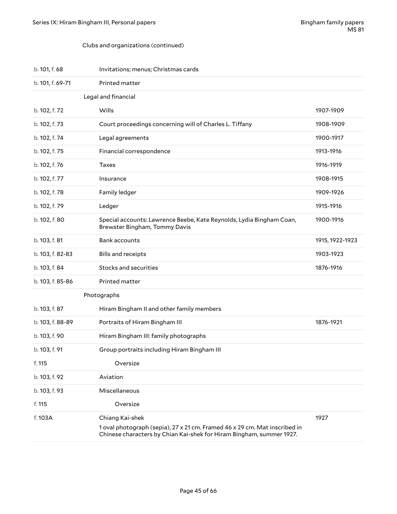#### Clubs and organizations (continued)

| b. 101, f. 68    | Invitations; menus; Christmas cards                                                                                                                                   |                 |
|------------------|-----------------------------------------------------------------------------------------------------------------------------------------------------------------------|-----------------|
| b. 101, f. 69-71 | Printed matter                                                                                                                                                        |                 |
|                  | Legal and financial                                                                                                                                                   |                 |
| b. 102, f. 72    | Wills                                                                                                                                                                 | 1907-1909       |
| b. 102, f. 73    | Court proceedings concerning will of Charles L. Tiffany                                                                                                               | 1908-1909       |
| b. 102, f. 74    | Legal agreements                                                                                                                                                      | 1900-1917       |
| b. 102, f. 75    | Financial correspondence                                                                                                                                              | 1913-1916       |
| b. 102, f. 76    | <b>Taxes</b>                                                                                                                                                          | 1916-1919       |
| b. 102, f. 77    | Insurance                                                                                                                                                             | 1908-1915       |
| b. 102, f. 78    | Family ledger                                                                                                                                                         | 1909-1926       |
| b. 102, f. 79    | Ledger                                                                                                                                                                | 1915-1916       |
| b. 102, f. 80    | Special accounts: Lawrence Beebe, Kate Reynolds, Lydia Bingham Coan,<br>Brewster Bingham, Tommy Davis                                                                 | 1900-1916       |
| b. 103, f. 81    | <b>Bank accounts</b>                                                                                                                                                  | 1915, 1922-1923 |
| b. 103, f. 82-83 | <b>Bills and receipts</b>                                                                                                                                             | 1903-1923       |
| b. 103, f. 84    | Stocks and securities                                                                                                                                                 | 1876-1916       |
| b. 103, f. 85-86 | Printed matter                                                                                                                                                        |                 |
|                  | Photographs                                                                                                                                                           |                 |
| b. 103, f. 87    | Hiram Bingham II and other family members                                                                                                                             |                 |
| b. 103, f. 88-89 | Portraits of Hiram Bingham III                                                                                                                                        | 1876-1921       |
| b. 103, f. 90    | Hiram Bingham III: family photographs                                                                                                                                 |                 |
| b. 103, f. 91    | Group portraits including Hiram Bingham III                                                                                                                           |                 |
| f. 115           | Oversize                                                                                                                                                              |                 |
| b. 103, f. 92    | Aviation                                                                                                                                                              |                 |
| b. 103, f. 93    | Miscellaneous                                                                                                                                                         |                 |
| f. 115           | Oversize                                                                                                                                                              |                 |
| f. 103A          | Chiang Kai-shek<br>1 oval photograph (sepia), 27 x 21 cm. Framed 46 x 29 cm. Mat inscribed in<br>Chinese characters by Chian Kai-shek for Hiram Bingham, summer 1927. | 1927            |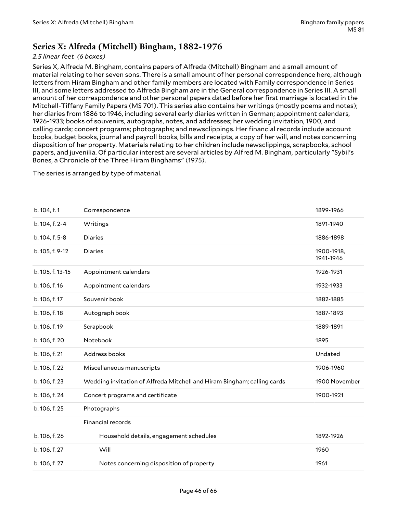### <span id="page-45-0"></span>**Series X: Alfreda (Mitchell) Bingham, 1882-1976**

### *2.5 linear feet (6 boxes)*

Series X, Alfreda M. Bingham, contains papers of Alfreda (Mitchell) Bingham and a small amount of material relating to her seven sons. There is a small amount of her personal correspondence here, although letters from Hiram Bingham and other family members are located with Family correspondence in Series III, and some letters addressed to Alfreda Bingham are in the General correspondence in Series III. A small amount of her correspondence and other personal papers dated before her first marriage is located in the Mitchell-Tiffany Family Papers (MS 701). This series also contains her writings (mostly poems and notes); her diaries from 1886 to 1946, including several early diaries written in German; appointment calendars, 1926-1933; books of souvenirs, autographs, notes, and addresses; her wedding invitation, 1900, and calling cards; concert programs; photographs; and newsclippings. Her financial records include account books, budget books, journal and payroll books, bills and receipts, a copy of her will, and notes concerning disposition of her property. Materials relating to her children include newsclippings, scrapbooks, school papers, and juvenilia. Of particular interest are several articles by Alfred M. Bingham, particularly "Sybil's Bones, a Chronicle of the Three Hiram Binghams" (1975).

The series is arranged by type of material.

| b. 104, f. 1     | Correspondence                                                          | 1899-1966               |
|------------------|-------------------------------------------------------------------------|-------------------------|
| b. 104, f. 2-4   | Writings                                                                | 1891-1940               |
| b. 104, f. 5-8   | <b>Diaries</b>                                                          | 1886-1898               |
| b. 105, f. 9-12  | <b>Diaries</b>                                                          | 1900-1918,<br>1941-1946 |
| b. 105, f. 13-15 | Appointment calendars                                                   | 1926-1931               |
| b. 106, f. 16    | Appointment calendars                                                   | 1932-1933               |
| b. 106, f. 17    | Souvenir book                                                           | 1882-1885               |
| b. 106, f. 18    | Autograph book                                                          | 1887-1893               |
| b. 106, f. 19    | Scrapbook                                                               | 1889-1891               |
| b. 106, f. 20    | Notebook                                                                | 1895                    |
| b. 106, f. 21    | Address books                                                           | Undated                 |
| b. 106, f. 22    | Miscellaneous manuscripts                                               | 1906-1960               |
| b. 106, f. 23    | Wedding invitation of Alfreda Mitchell and Hiram Bingham; calling cards | 1900 November           |
| b. 106, f. 24    | Concert programs and certificate                                        | 1900-1921               |
| b. 106, f. 25    | Photographs                                                             |                         |
|                  | Financial records                                                       |                         |
| b. 106, f. 26    | Household details, engagement schedules                                 | 1892-1926               |
| b. 106, f. 27    | Will                                                                    | 1960                    |
| b. 106, f. 27    | Notes concerning disposition of property                                | 1961                    |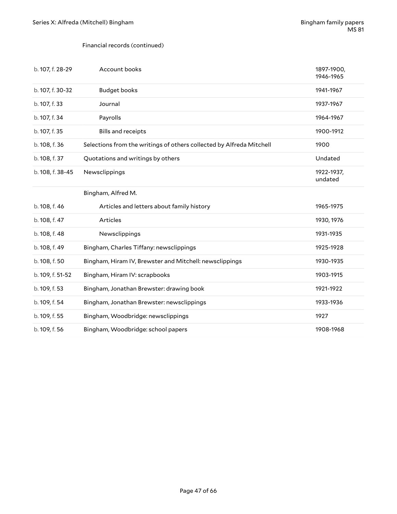#### Financial records (continued)

| b. 107, f. 28-29 | Account books                                                        | 1897-1900,<br>1946-1965 |
|------------------|----------------------------------------------------------------------|-------------------------|
| b. 107, f. 30-32 | <b>Budget books</b>                                                  | 1941-1967               |
| b. 107, f. 33    | Journal                                                              | 1937-1967               |
| b. 107, f. 34    | Payrolls                                                             | 1964-1967               |
| b. 107, f. 35    | <b>Bills and receipts</b>                                            | 1900-1912               |
| b. 108, f. 36    | Selections from the writings of others collected by Alfreda Mitchell | 1900                    |
| b. 108, f. 37    | Quotations and writings by others                                    | Undated                 |
| b. 108, f. 38-45 | Newsclippings                                                        | 1922-1937,<br>undated   |
|                  | Bingham, Alfred M.                                                   |                         |
| b. 108, f. 46    | Articles and letters about family history                            | 1965-1975               |
| b. 108, f. 47    | Articles                                                             | 1930, 1976              |
| b. 108, f. 48    | Newsclippings                                                        | 1931-1935               |
| b. 108, f. 49    | Bingham, Charles Tiffany: newsclippings                              | 1925-1928               |
| b. 108, f. 50    | Bingham, Hiram IV, Brewster and Mitchell: newsclippings              | 1930-1935               |
| b. 109, f. 51-52 | Bingham, Hiram IV: scrapbooks                                        | 1903-1915               |
| b. 109, f. 53    | Bingham, Jonathan Brewster: drawing book                             | 1921-1922               |
| b. 109, f. 54    | Bingham, Jonathan Brewster: newsclippings                            | 1933-1936               |
| b. 109, f. 55    | Bingham, Woodbridge: newsclippings                                   | 1927                    |
| b. 109, f. 56    | Bingham, Woodbridge: school papers                                   | 1908-1968               |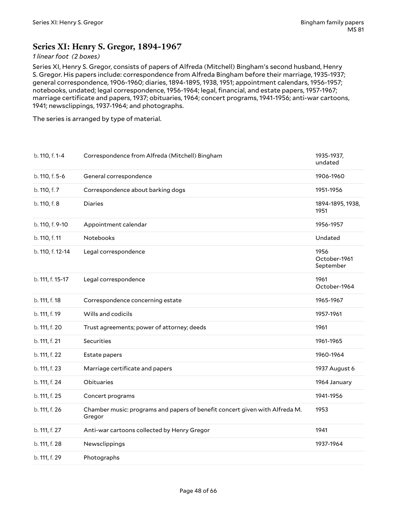### <span id="page-47-0"></span>**Series XI: Henry S. Gregor, 1894-1967**

#### *1 linear foot (2 boxes)*

Series XI, Henry S. Gregor, consists of papers of Alfreda (Mitchell) Bingham's second husband, Henry S. Gregor. His papers include: correspondence from Alfreda Bingham before their marriage, 1935-1937; general correspondence, 1906-1960; diaries, 1894-1895, 1938, 1951; appointment calendars, 1956-1957; notebooks, undated; legal correspondence, 1956-1964; legal, financial, and estate papers, 1957-1967; marriage certificate and papers, 1937; obituaries, 1964; concert programs, 1941-1956; anti-war cartoons, 1941; newsclippings, 1937-1964; and photographs.

The series is arranged by type of material.

| b. 110, f. 1-4   | Correspondence from Alfreda (Mitchell) Bingham                                        | 1935-1937,<br>undated             |
|------------------|---------------------------------------------------------------------------------------|-----------------------------------|
| b. 110, f. 5-6   | General correspondence                                                                | 1906-1960                         |
| b. 110, f. 7     | Correspondence about barking dogs                                                     | 1951-1956                         |
| b. 110, f. 8     | <b>Diaries</b>                                                                        | 1894-1895, 1938,<br>1951          |
| b. 110, f. 9-10  | Appointment calendar                                                                  | 1956-1957                         |
| b. 110, f. 11    | Notebooks                                                                             | Undated                           |
| b. 110, f. 12-14 | Legal correspondence                                                                  | 1956<br>October-1961<br>September |
| b. 111, f. 15-17 | Legal correspondence                                                                  | 1961<br>October-1964              |
| b. 111, f. 18    | Correspondence concerning estate                                                      | 1965-1967                         |
| b. 111, f. 19    | Wills and codicils                                                                    | 1957-1961                         |
| b. 111, f. 20    | Trust agreements; power of attorney; deeds                                            | 1961                              |
| b. 111, f. 21    | Securities                                                                            | 1961-1965                         |
| b. 111, f. 22    | Estate papers                                                                         | 1960-1964                         |
| b. 111, f. 23    | Marriage certificate and papers                                                       | 1937 August 6                     |
| b. 111, f. 24    | Obituaries                                                                            | 1964 January                      |
| b. 111, f. 25    | Concert programs                                                                      | 1941-1956                         |
| b. 111, f. 26    | Chamber music: programs and papers of benefit concert given with Alfreda M.<br>Gregor | 1953                              |
| b. 111, f. 27    | Anti-war cartoons collected by Henry Gregor                                           | 1941                              |
| b. 111, f. 28    | Newsclippings                                                                         | 1937-1964                         |
| b. 111, f. 29    | Photographs                                                                           |                                   |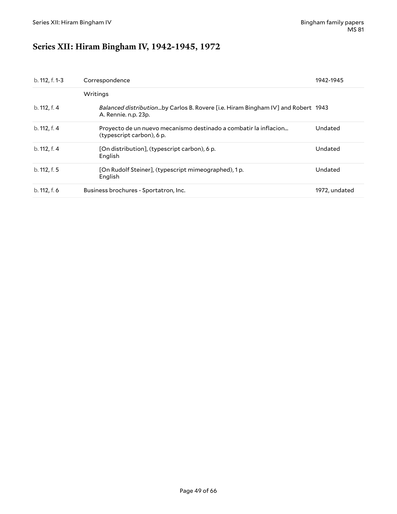# <span id="page-48-0"></span>**Series XII: Hiram Bingham IV, 1942-1945, 1972**

| b. 112, f. 1-3 | Correspondence                                                                                           | 1942-1945     |
|----------------|----------------------------------------------------------------------------------------------------------|---------------|
|                | Writings                                                                                                 |               |
| b. 112, f. 4   | Balanced distributionby Carlos B. Rovere [i.e. Hiram Bingham IV] and Robert 1943<br>A. Rennie. n.p. 23p. |               |
| b. 112, f. 4   | Proyecto de un nuevo mecanismo destinado a combatir la inflacion<br>(typescript carbon), 6 p.            | Undated       |
| b. 112, f. 4   | [On distribution], (typescript carbon), 6 p.<br>English                                                  | Undated       |
| b. 112, f. 5   | [On Rudolf Steiner], (typescript mimeographed), 1 p.<br>English                                          | Undated       |
| b. 112, f. 6   | Business brochures - Sportatron, Inc.                                                                    | 1972, undated |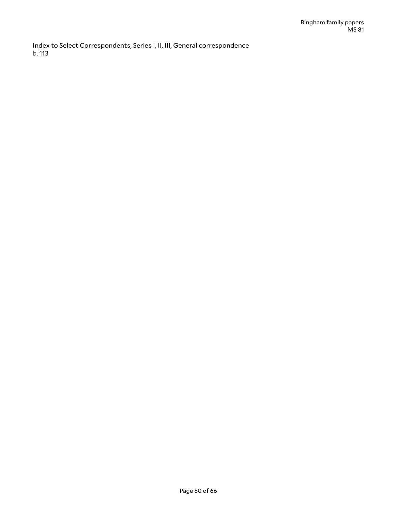Index to Select Correspondents, Series I, II, III, General correspondence b. 113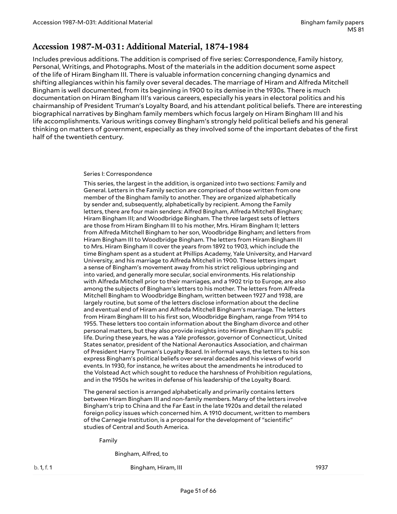### <span id="page-50-0"></span>**Accession 1987-M-031: Additional Material, 1874-1984**

Includes previous additions. The addition is comprised of five series: Correspondence, Family history, Personal, Writings, and Photographs. Most of the materials in the addition document some aspect of the life of Hiram Bingham III. There is valuable information concerning changing dynamics and shifting allegiances within his family over several decades. The marriage of Hiram and Alfreda Mitchell Bingham is well documented, from its beginning in 1900 to its demise in the 1930s. There is much documentation on Hiram Bingham III's various careers, especially his years in electoral politics and his chairmanship of President Truman's Loyalty Board, and his attendant political beliefs. There are interesting biographical narratives by Bingham family members which focus largely on Hiram Bingham III and his life accomplishments. Various writings convey Bingham's strongly held political beliefs and his general thinking on matters of government, especially as they involved some of the important debates of the first half of the twentieth century.

#### <span id="page-50-1"></span>Series I: Correspondence

This series, the largest in the addition, is organized into two sections: Family and General. Letters in the Family section are comprised of those written from one member of the Bingham family to another. They are organized alphabetically by sender and, subsequently, alphabetically by recipient. Among the Family letters, there are four main senders: Alfred Bingham, Alfreda Mitchell Bingham; Hiram Bingham III; and Woodbridge Bingham. The three largest sets of letters are those from Hiram Bingham III to his mother, Mrs. Hiram Bingham II; letters from Alfreda Mitchell Bingham to her son, Woodbridge Bingham; and letters from Hiram Bingham III to Woodbridge Bingham. The letters from Hiram Bingham III to Mrs. Hiram Bingham II cover the years from 1892 to 1903, which include the time Bingham spent as a student at Phillips Academy, Yale University, and Harvard University, and his marriage to Alfreda Mitchell in 1900. These letters impart a sense of Bingham's movement away from his strict religious upbringing and into varied, and generally more secular, social environments. His relationship with Alfreda Mitchell prior to their marriages, and a 1902 trip to Europe, are also among the subjects of Bingham's letters to his mother. The letters from Alfreda Mitchell Bingham to Woodbridge Bingham, written between 1927 and 1938, are largely routine, but some of the letters disclose information about the decline and eventual end of Hiram and Alfreda Mitchell Bingham's marriage. The letters from Hiram Bingham III to his first son, Woodbridge Bingham, range from 1914 to 1955. These letters too contain information about the Bingham divorce and other personal matters, but they also provide insights into Hiram Bingham III's public life. During these years, he was a Yale professor, governor of Connecticut, United States senator, president of the National Aeronautics Association, and chairman of President Harry Truman's Loyalty Board. In informal ways, the letters to his son express Bingham's political beliefs over several decades and his views of world events. In 1930, for instance, he writes about the amendments he introduced to the Volstead Act which sought to reduce the harshness of Prohibition regulations, and in the 1950s he writes in defense of his leadership of the Loyalty Board.

The general section is arranged alphabetically and primarily contains letters between Hiram Bingham III and non-family members. Many of the letters involve Bingham's trip to China and the Far East in the late 1920s and detail the related foreign policy issues which concerned him. A 1910 document, written to members of the Carnegie Institution, is a proposal for the development of "scientific" studies of Central and South America.

Family

Bingham, Alfred, to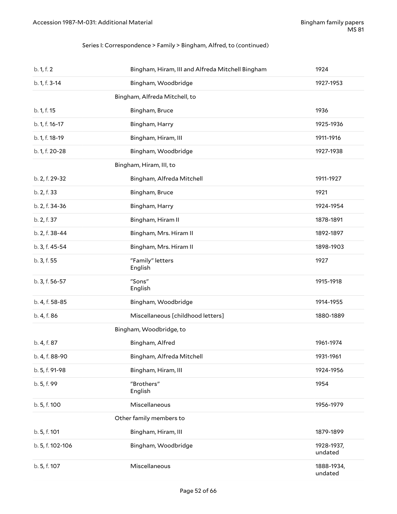#### Series I: Correspondence > Family > Bingham, Alfred, to (continued)

| b. 1, f. 2       | Bingham, Hiram, III and Alfreda Mitchell Bingham | 1924                  |
|------------------|--------------------------------------------------|-----------------------|
| b. 1, f. 3-14    | Bingham, Woodbridge                              | 1927-1953             |
|                  | Bingham, Alfreda Mitchell, to                    |                       |
| b. 1, f. 15      | Bingham, Bruce                                   | 1936                  |
| b. 1, f. 16-17   | Bingham, Harry                                   | 1925-1936             |
| b. 1, f. 18-19   | Bingham, Hiram, III                              | 1911-1916             |
| b. 1, f. 20-28   | Bingham, Woodbridge                              | 1927-1938             |
|                  | Bingham, Hiram, III, to                          |                       |
| b. 2, f. 29-32   | Bingham, Alfreda Mitchell                        | 1911-1927             |
| b. 2, f. 33      | Bingham, Bruce                                   | 1921                  |
| b. 2, f. 34-36   | Bingham, Harry                                   | 1924-1954             |
| b. 2, f. 37      | Bingham, Hiram II                                | 1878-1891             |
| b. 2, f. 38-44   | Bingham, Mrs. Hiram II                           | 1892-1897             |
| b. 3, f. 45-54   | Bingham, Mrs. Hiram II                           | 1898-1903             |
| b. 3, f. 55      | "Family" letters<br>English                      | 1927                  |
| b. 3, f. 56-57   | "Sons"<br>English                                | 1915-1918             |
| b. 4, f. 58-85   | Bingham, Woodbridge                              | 1914-1955             |
| b. 4, f. 86      | Miscellaneous [childhood letters]                | 1880-1889             |
|                  | Bingham, Woodbridge, to                          |                       |
| b. 4, f. 87      | Bingham, Alfred                                  | 1961-1974             |
| b. 4, f. 88-90   | Bingham, Alfreda Mitchell                        | 1931-1961             |
| b. 5, f. 91-98   |                                                  |                       |
|                  | Bingham, Hiram, III                              | 1924-1956             |
| b. 5, f. 99      | "Brothers"<br>English                            | 1954                  |
| b. 5, f. 100     | Miscellaneous                                    | 1956-1979             |
|                  | Other family members to                          |                       |
| b. 5, f. 101     | Bingham, Hiram, III                              | 1879-1899             |
| b. 5, f. 102-106 | Bingham, Woodbridge                              | 1928-1937,<br>undated |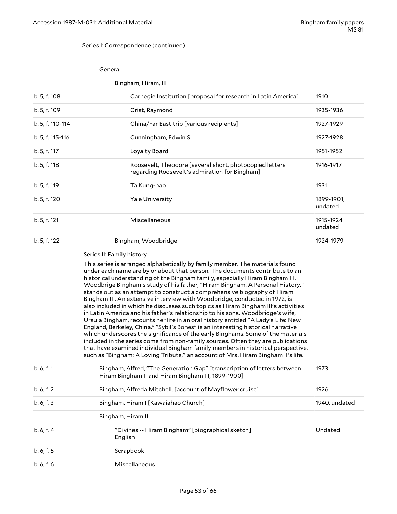#### Series I: Correspondence (continued)

#### General

#### Bingham, Hiram, III

| b. 5, f. 108     | Carnegie Institution [proposal for research in Latin America]                                                                                                                                                                                                                                                                                                                                             | 1910                  |
|------------------|-----------------------------------------------------------------------------------------------------------------------------------------------------------------------------------------------------------------------------------------------------------------------------------------------------------------------------------------------------------------------------------------------------------|-----------------------|
| b. 5, f. 109     | Crist, Raymond                                                                                                                                                                                                                                                                                                                                                                                            | 1935-1936             |
| b. 5, f. 110-114 | China/Far East trip [various recipients]                                                                                                                                                                                                                                                                                                                                                                  | 1927-1929             |
| b. 5, f. 115-116 | Cunningham, Edwin S.                                                                                                                                                                                                                                                                                                                                                                                      | 1927-1928             |
| b. 5, f. 117     | Loyalty Board                                                                                                                                                                                                                                                                                                                                                                                             | 1951-1952             |
| b. 5, f. 118     | Roosevelt, Theodore [several short, photocopied letters<br>regarding Roosevelt's admiration for Bingham]                                                                                                                                                                                                                                                                                                  | 1916-1917             |
| b. 5, f. 119     | Ta Kung-pao                                                                                                                                                                                                                                                                                                                                                                                               | 1931                  |
| b. 5, f. 120     | <b>Yale University</b>                                                                                                                                                                                                                                                                                                                                                                                    | 1899-1901,<br>undated |
| b. 5, f. 121     | Miscellaneous                                                                                                                                                                                                                                                                                                                                                                                             | 1915-1924<br>undated  |
| b. 5, f. 122     | Bingham, Woodbridge                                                                                                                                                                                                                                                                                                                                                                                       | 1924-1979             |
|                  | Series II: Family history                                                                                                                                                                                                                                                                                                                                                                                 |                       |
|                  | This series is arranged alphabetically by family member. The materials found<br>under each name are by or about that person. The documents contribute to an<br>historical understanding of the Bingham family, especially Hiram Bingham III.<br>Woodbrige Bingham's study of his father, "Hiram Bingham: A Personal History,"<br>stands out as an attempt to construct a comprehensive biography of Hiram |                       |

<span id="page-52-0"></span>stands out as an attempt to construct a comprehensive biography of Hiram Bingham III. An extensive interview with Woodbridge, conducted in 1972, is also included in which he discusses such topics as Hiram Bingham III's activities in Latin America and his father's relationship to his sons. Woodbridge's wife, Ursula Bingham, recounts her life in an oral history entitled "A Lady's Life: New England, Berkeley, China." "Sybil's Bones" is an interesting historical narrative which underscores the significance of the early Binghams. Some of the materials included in the series come from non-family sources. Often they are publications that have examined individual Bingham family members in historical perspective, such as "Bingham: A Loving Tribute," an account of Mrs. Hiram Bingham II's life.

| b.6, f.1   | Bingham, Alfred, "The Generation Gap" [transcription of letters between<br>Hiram Bingham II and Hiram Bingham III, 1899-1900] | 1973          |
|------------|-------------------------------------------------------------------------------------------------------------------------------|---------------|
| b. 6, f. 2 | Bingham, Alfreda Mitchell, Laccount of Mayflower cruise                                                                       | 1926          |
| b. 6, f. 3 | Bingham, Hiram I [Kawaiahao Church]                                                                                           | 1940, undated |
|            | Bingham, Hiram II                                                                                                             |               |
| b.6, f.4   | "Divines -- Hiram Bingham" [biographical sketch]<br>English                                                                   | Undated       |
| b. 6, f. 5 | Scrapbook                                                                                                                     |               |
| b. 6, f. 6 | Miscellaneous                                                                                                                 |               |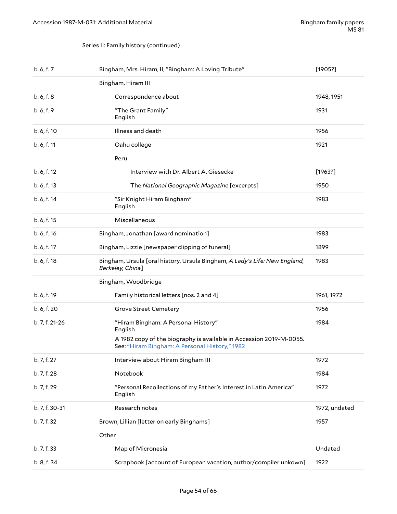#### Series II: Family history (continued)

<span id="page-53-0"></span>

| b. 6, f. 7     | Bingham, Mrs. Hiram, II, "Bingham: A Loving Tribute"                                                                                                                    | [1905!]       |
|----------------|-------------------------------------------------------------------------------------------------------------------------------------------------------------------------|---------------|
|                | Bingham, Hiram III                                                                                                                                                      |               |
| b. 6, f. 8     | Correspondence about                                                                                                                                                    | 1948, 1951    |
| b. 6, f. 9     | "The Grant Family"<br>English                                                                                                                                           | 1931          |
| b. 6, f. 10    | Illness and death                                                                                                                                                       | 1956          |
| b. 6, f. 11    | Oahu college                                                                                                                                                            | 1921          |
|                | Peru                                                                                                                                                                    |               |
| b. 6, f. 12    | Interview with Dr. Albert A. Giesecke                                                                                                                                   | [1963?]       |
| b. 6, f. 13    | The National Geographic Magazine [excerpts]                                                                                                                             | 1950          |
| b. 6, f. 14    | "Sir Knight Hiram Bingham"<br>English                                                                                                                                   | 1983          |
| b. 6, f. 15    | Miscellaneous                                                                                                                                                           |               |
| b. 6, f. 16    | Bingham, Jonathan [award nomination]                                                                                                                                    | 1983          |
| b. 6, f. 17    | Bingham, Lizzie [newspaper clipping of funeral]                                                                                                                         | 1899          |
| b. 6, f. 18    | Bingham, Ursula [oral history, Ursula Bingham, A Lady's Life: New England,<br>Berkeley, China]                                                                          | 1983          |
|                | Bingham, Woodbridge                                                                                                                                                     |               |
| b. 6, f. 19    | Family historical letters [nos. 2 and 4]                                                                                                                                | 1961, 1972    |
| b. 6, f. 20    | <b>Grove Street Cemetery</b>                                                                                                                                            | 1956          |
| b. 7, f. 21-26 | "Hiram Bingham: A Personal History"<br>English<br>A 1982 copy of the biography is available in Accession 2019-M-0055.<br>See: "Hiram Bingham: A Personal History," 1982 | 1984          |
| b. 7, f. 27    | Interview about Hiram Bingham III                                                                                                                                       | 1972          |
| b. 7, f. 28    | Notebook                                                                                                                                                                | 1984          |
| b. 7, f. 29    | "Personal Recollections of my Father's Interest in Latin America"<br>English                                                                                            | 1972          |
| b. 7, f. 30-31 | Research notes                                                                                                                                                          | 1972, undated |
| b. 7, f. 32    | Brown, Lillian [letter on early Binghams]                                                                                                                               | 1957          |
|                | Other                                                                                                                                                                   |               |
| b. 7, f. 33    | Map of Micronesia                                                                                                                                                       | Undated       |
| b. 8, f. 34    | Scrapbook [account of European vacation, author/compiler unkown]                                                                                                        | 1922          |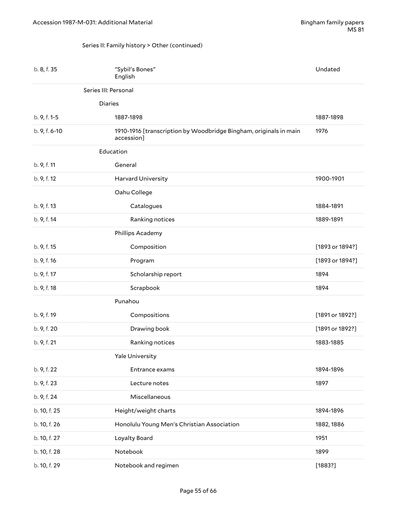#### <span id="page-54-0"></span>Series II: Family history > Other (continued)

| b. 8, f. 35   | "Sybil's Bones"<br>English                                                      | Undated         |
|---------------|---------------------------------------------------------------------------------|-----------------|
|               | Series III: Personal                                                            |                 |
|               | <b>Diaries</b>                                                                  |                 |
| b. 9, f. 1-5  | 1887-1898                                                                       | 1887-1898       |
| b. 9, f. 6-10 | 1910-1916 [transcription by Woodbridge Bingham, originals in main<br>accession] | 1976            |
|               | Education                                                                       |                 |
| b. 9, f. 11   | General                                                                         |                 |
| b. 9, f. 12   | <b>Harvard University</b>                                                       | 1900-1901       |
|               | Oahu College                                                                    |                 |
| b. 9, f. 13   | Catalogues                                                                      | 1884-1891       |
| b. 9, f. 14   | Ranking notices                                                                 | 1889-1891       |
|               | Phillips Academy                                                                |                 |
| b. 9, f. 15   | Composition                                                                     | [1893 or 1894?] |
| b. 9, f. 16   | Program                                                                         | [1893 or 1894?] |
| b. 9, f. 17   | Scholarship report                                                              | 1894            |
| b. 9, f. 18   | Scrapbook                                                                       | 1894            |
|               | Punahou                                                                         |                 |
| b. 9, f. 19   | Compositions                                                                    | [1891 or 1892?] |
| b. 9, f. 20   | Drawing book                                                                    | [1891 or 1892?] |
| b. 9, f. 21   | Ranking notices                                                                 | 1883-1885       |
|               | Yale University                                                                 |                 |
| b. 9, f. 22   | Entrance exams                                                                  | 1894-1896       |
| b. 9, f. 23   | Lecture notes                                                                   | 1897            |
| b. 9, f. 24   | Miscellaneous                                                                   |                 |
| b. 10, f. 25  | Height/weight charts                                                            | 1894-1896       |
| b. 10, f. 26  | Honolulu Young Men's Christian Association                                      | 1882, 1886      |
| b. 10, f. 27  | Loyalty Board                                                                   | 1951            |
| b. 10, f. 28  | Notebook                                                                        | 1899            |
| b. 10, f. 29  | Notebook and regimen                                                            | [1883?]         |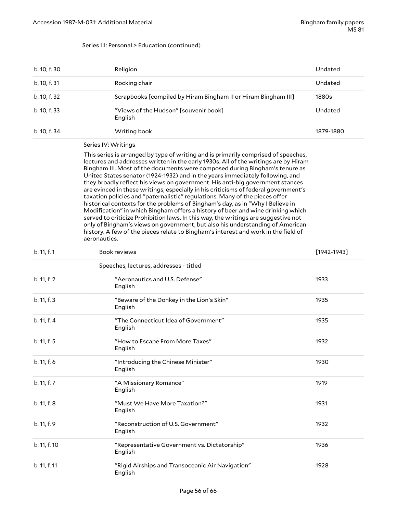#### Series III: Personal > Education (continued)

| b. 10, f. 30 | Religion                                                       | Undated   |
|--------------|----------------------------------------------------------------|-----------|
| b. 10, f. 31 | Rocking chair                                                  | Undated   |
| b. 10, f. 32 | Scrapbooks [compiled by Hiram Bingham II or Hiram Bingham III] | 1880s     |
| b. 10, f. 33 | "Views of the Hudson" [souvenir book]<br>English               | Undated   |
| b. 10, f. 34 | Writing book                                                   | 1879-1880 |

#### <span id="page-55-0"></span>Series IV: Writings

This series is arranged by type of writing and is primarily comprised of speeches, lectures and addresses written in the early 1930s. All of the writings are by Hiram Bingham III. Most of the documents were composed during Bingham's tenure as United States senator (1924-1932) and in the years immediately following, and they broadly reflect his views on government. His anti-big government stances are evinced in these writings, especially in his criticisms of federal government's taxation policies and "paternalistic" regulations. Many of the pieces offer historical contexts for the problems of Bingham's day, as in "Why I Believe in Modification" in which Bingham offers a history of beer and wine drinking which served to criticize Prohibition laws. In this way, the writings are suggestive not only of Bingham's views on government, but also his understanding of American history. A few of the pieces relate to Bingham's interest and work in the field of aeronautics.

| b. 11, f. 1  | <b>Book reviews</b>                                         | $[1942 - 1943]$ |
|--------------|-------------------------------------------------------------|-----------------|
|              | Speeches, lectures, addresses - titled                      |                 |
| b. 11, f. 2  | "Aeronautics and U.S. Defense"<br>English                   | 1933            |
| b. 11, f. 3  | "Beware of the Donkey in the Lion's Skin"<br>English        | 1935            |
| b. 11, f. 4  | "The Connecticut Idea of Government"<br>English             | 1935            |
| b. 11, f. 5  | "How to Escape From More Taxes"<br>English                  | 1932            |
| b. 11, f. 6  | "Introducing the Chinese Minister"<br>English               | 1930            |
| b. 11, f. 7  | "A Missionary Romance"<br>English                           | 1919            |
| b. 11, f. 8  | "Must We Have More Taxation?"<br>English                    | 1931            |
| b. 11, f. 9  | "Reconstruction of U.S. Government"<br>English              | 1932            |
| b. 11, f. 10 | "Representative Government vs. Dictatorship"<br>English     | 1936            |
| b. 11, f. 11 | "Rigid Airships and Transoceanic Air Navigation"<br>English | 1928            |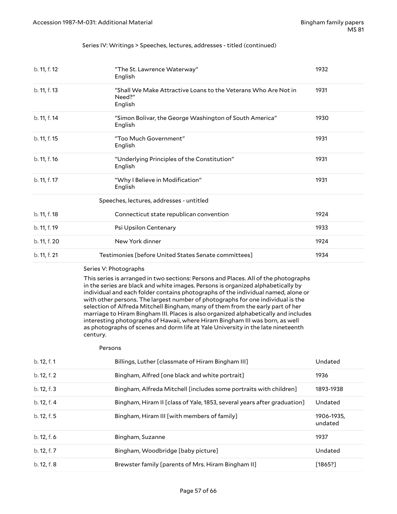#### Series IV: Writings > Speeches, lectures, addresses - titled (continued)

| b. 11, f. 12 | "The St. Lawrence Waterway"<br>English                                              | 1932 |
|--------------|-------------------------------------------------------------------------------------|------|
| b. 11, f. 13 | "Shall We Make Attractive Loans to the Veterans Who Are Not in<br>Need?"<br>English | 1931 |
| b. 11, f. 14 | "Simon Bolivar, the George Washington of South America"<br>English                  | 1930 |
| b. 11, f. 15 | "Too Much Government"<br>English                                                    | 1931 |
| b. 11, f. 16 | "Underlying Principles of the Constitution"<br>English                              | 1931 |
| b. 11, f. 17 | "Why I Believe in Modification"<br>English                                          | 1931 |
|              | Speeches, lectures, addresses - untitled                                            |      |
| b. 11, f. 18 | Connecticut state republican convention                                             | 1924 |
| b. 11, f. 19 | Psi Upsilon Centenary                                                               | 1933 |
| b. 11, f. 20 | New York dinner                                                                     | 1924 |
| b. 11, f. 21 | Testimonies [before United States Senate committees]                                | 1934 |

#### <span id="page-56-0"></span>Series V: Photographs

This series is arranged in two sections: Persons and Places. All of the photographs in the series are black and white images. Persons is organized alphabetically by individual and each folder contains photographs of the individual named, alone or with other persons. The largest number of photographs for one individual is the selection of Alfreda Mitchell Bingham, many of them from the early part of her marriage to Hiram Bingham III. Places is also organized alphabetically and includes interesting photographs of Hawaii, where Hiram Bingham III was born, as well as photographs of scenes and dorm life at Yale University in the late nineteenth century.

#### Persons

| b. 12, f. 1 | Billings, Luther [classmate of Hiram Bingham III]                       | Undated               |
|-------------|-------------------------------------------------------------------------|-----------------------|
| b. 12, f. 2 | Bingham, Alfred [one black and white portrait]                          | 1936                  |
| b. 12, f. 3 | Bingham, Alfreda Mitchell [includes some portraits with children]       | 1893-1938             |
| b. 12, f. 4 | Bingham, Hiram II [class of Yale, 1853, several years after graduation] | Undated               |
| b. 12, f. 5 | Bingham, Hiram III [with members of family]                             | 1906-1935.<br>undated |
| b. 12, f. 6 | Bingham, Suzanne                                                        | 1937                  |
| b. 12, f. 7 | Bingham, Woodbridge [baby picture]                                      | Undated               |
| b. 12, f. 8 | Brewster family [parents of Mrs. Hiram Bingham II]                      | [1865?]               |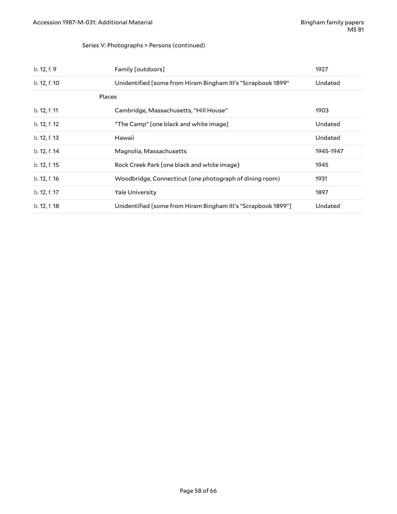#### Series V: Photographs > Persons (continued)

| b. 12, f. 9  | Family [outdoors]                                             | 1927      |
|--------------|---------------------------------------------------------------|-----------|
| b. 12, f. 10 | Unidentified [some from Hiram Bingham III's "Scrapbook 1899"  | Undated   |
|              | Places                                                        |           |
| b. 12, f. 11 | Cambridge, Massachusetts, "Hill House"                        | 1903      |
| b. 12, f. 12 | "The Camp" [one black and white image]                        | Undated   |
| b. 12, f. 13 | Hawaii                                                        | Undated   |
| b. 12, f. 14 | Magnolia, Massachusetts                                       | 1945-1947 |
| b. 12, f. 15 | Rock Creek Park [one black and white image}                   | 1945      |
| b. 12, f. 16 | Woodbridge, Connecticut [one photograph of dining room)       | 1931      |
| b. 12, f. 17 | Yale University                                               | 1897      |
| b. 12, f. 18 | Unidentified [some from Hiram Bingham III's "Scrapbook 1899"] | Undated   |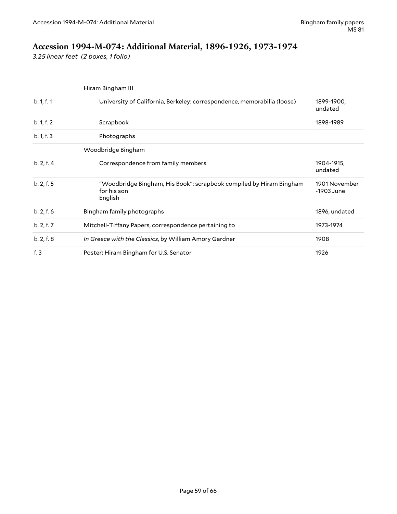# <span id="page-58-0"></span>**Accession 1994-M-074: Additional Material, 1896-1926, 1973-1974**

*3.25 linear feet (2 boxes, 1 folio)*

|            | Hiram Bingham III                                                                             |                             |
|------------|-----------------------------------------------------------------------------------------------|-----------------------------|
| b. 1, f. 1 | University of California, Berkeley: correspondence, memorabilia (loose)                       | 1899-1900,<br>undated       |
| b. 1, f. 2 | Scrapbook                                                                                     | 1898-1989                   |
| b. 1, f. 3 | Photographs                                                                                   |                             |
|            | Woodbridge Bingham                                                                            |                             |
| b. 2, f. 4 | Correspondence from family members                                                            | 1904-1915,<br>undated       |
| b. 2, f. 5 | "Woodbridge Bingham, His Book": scrapbook compiled by Hiram Bingham<br>for his son<br>English | 1901 November<br>-1903 June |
| b. 2, f. 6 | Bingham family photographs                                                                    | 1896, undated               |
| b. 2, f. 7 | Mitchell-Tiffany Papers, correspondence pertaining to                                         | 1973-1974                   |
| b. 2, f. 8 | In Greece with the Classics, by William Amory Gardner                                         | 1908                        |
| f. $3$     | Poster: Hiram Bingham for U.S. Senator                                                        | 1926                        |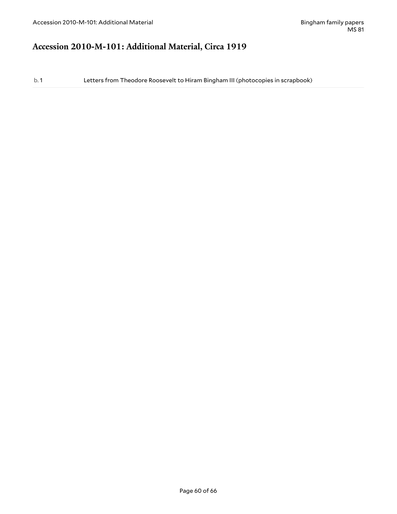# <span id="page-59-0"></span>**Accession 2010-M-101: Additional Material, Circa 1919**

b. 1 Letters from Theodore Roosevelt to Hiram Bingham III (photocopies in scrapbook)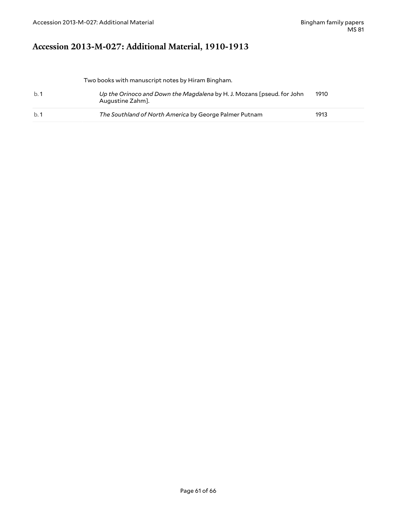# <span id="page-60-0"></span>**Accession 2013-M-027: Additional Material, 1910-1913**

Two books with manuscript notes by Hiram Bingham.

| b.1 | Up the Orinoco and Down the Magdalena by H. J. Mozans [pseud. for John<br>Augustine Zahm]. | 1910 |
|-----|--------------------------------------------------------------------------------------------|------|
| b.1 | The Southland of North America by George Palmer Putnam                                     | 1913 |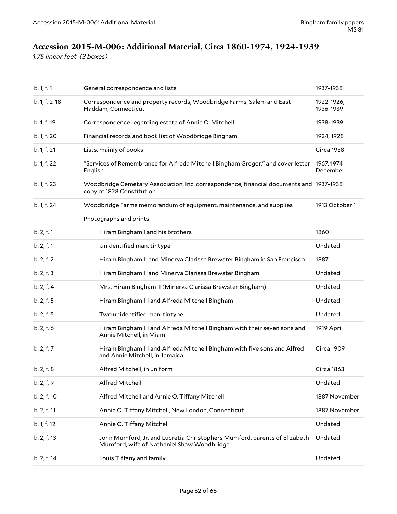# <span id="page-61-0"></span>**Accession 2015-M-006: Additional Material, Circa 1860-1974, 1924-1939**

*1.75 linear feet (3 boxes)*

| b. 1, f. 1    | General correspondence and lists                                                                                        | 1937-1938               |
|---------------|-------------------------------------------------------------------------------------------------------------------------|-------------------------|
| b. 1, f. 2-18 | Correspondence and property records, Woodbridge Farms, Salem and East<br>Haddam, Connecticut                            | 1922-1926,<br>1936-1939 |
| b. 1, f. 19   | Correspondence regarding estate of Annie O. Mitchell                                                                    | 1938-1939               |
| b. 1, f. 20   | Financial records and book list of Woodbridge Bingham                                                                   | 1924, 1928              |
| b. 1, f. 21   | Lists, mainly of books                                                                                                  | Circa 1938              |
| b. 1, f. 22   | "Services of Remembrance for Alfreda Mitchell Bingham Gregor," and cover letter<br>English                              | 1967, 1974<br>December  |
| b. 1, f. 23   | Woodbridge Cemetary Association, Inc. correspondence, financial documents and 1937-1938<br>copy of 1828 Constitution    |                         |
| b. 1, f. 24   | Woodbridge Farms memorandum of equipment, maintenance, and supplies                                                     | 1913 October 1          |
|               | Photographs and prints                                                                                                  |                         |
| b. 2, f. 1    | Hiram Bingham I and his brothers                                                                                        | 1860                    |
| b. 2, f. 1    | Unidentified man, tintype                                                                                               | Undated                 |
| b. 2, f. 2    | Hiram Bingham II and Minerva Clarissa Brewster Bingham in San Francisco                                                 | 1887                    |
| b. 2, f. 3    | Hiram Bingham II and Minerva Clarissa Brewster Bingham                                                                  | Undated                 |
| b. 2, f. 4    | Mrs. Hiram Bingham II (Minerva Clarissa Brewster Bingham)                                                               | Undated                 |
| b. 2, f. 5    | Hiram Bingham III and Alfreda Mitchell Bingham                                                                          | Undated                 |
| b. 2, f. 5    | Two unidentified men, tintype                                                                                           | Undated                 |
| b. 2, f. 6    | Hiram Bingham III and Alfreda Mitchell Bingham with their seven sons and<br>Annie Mitchell, in Miami                    | 1919 April              |
| b. 2, f. 7    | Hiram Bingham III and Alfreda Mitchell Bingham with five sons and Alfred<br>and Annie Mitchell, in Jamaica              | Circa 1909              |
| b. 2, f. 8    | Alfred Mitchell, in uniform                                                                                             | <b>Circa 1863</b>       |
| b. 2, f. 9    | Alfred Mitchell                                                                                                         | Undated                 |
| b. 2, f. 10   | Alfred Mitchell and Annie O. Tiffany Mitchell                                                                           | 1887 November           |
| b. 2, f. 11   | Annie O. Tiffany Mitchell, New London, Connecticut                                                                      | 1887 November           |
| b. 1, f. 12   | Annie O. Tiffany Mitchell                                                                                               | Undated                 |
| b. 2, f. 13   | John Mumford, Jr. and Lucretia Christophers Mumford, parents of Elizabeth<br>Mumford, wife of Nathaniel Shaw Woodbridge | Undated                 |
| b. 2, f. 14   | Louis Tiffany and family                                                                                                | Undated                 |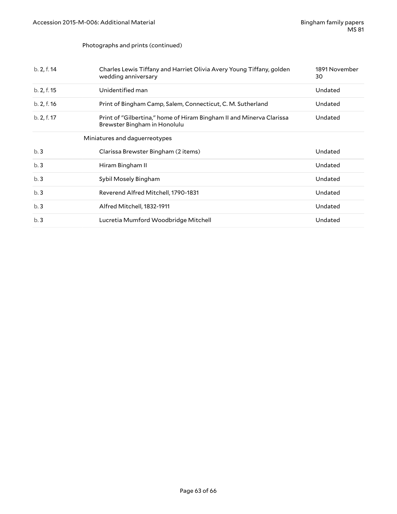#### Photographs and prints (continued)

| b. 2, f. 14 | Charles Lewis Tiffany and Harriet Olivia Avery Young Tiffany, golden<br>wedding anniversary          | 1891 November<br>30 |
|-------------|------------------------------------------------------------------------------------------------------|---------------------|
| b. 2, f. 15 | Unidentified man                                                                                     | Undated             |
| b. 2, f. 16 | Print of Bingham Camp, Salem, Connecticut, C. M. Sutherland                                          | Undated             |
| b. 2, f. 17 | Print of "Gilbertina," home of Hiram Bingham II and Minerva Clarissa<br>Brewster Bingham in Honolulu | Undated             |
|             | Miniatures and daguerreotypes                                                                        |                     |
|             |                                                                                                      |                     |
| b.3         | Clarissa Brewster Bingham (2 items)                                                                  | Undated             |
| b.3         | Hiram Bingham II                                                                                     | Undated             |
| b.3         | Sybil Mosely Bingham                                                                                 | Undated             |
| b.3         | Reverend Alfred Mitchell, 1790-1831                                                                  | Undated             |
| b.3         | Alfred Mitchell, 1832-1911                                                                           | Undated             |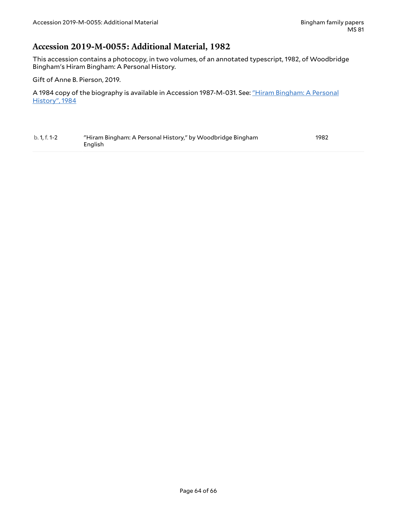### <span id="page-63-0"></span>**Accession 2019-M-0055: Additional Material, 1982**

This accession contains a photocopy, in two volumes, of an annotated typescript, 1982, of Woodbridge Bingham's Hiram Bingham: A Personal History.

Gift of Anne B. Pierson, 2019.

A 1984 copy of the biography is available in Accession 1987-M-031. See: "Hiram [Bingham:](#page-53-0) A Personal [History",](#page-53-0) 1984

<span id="page-63-1"></span>

| b. 1, f. 1-2 | "Hiram Bingham: A Personal History," by Woodbridge Bingham | 1982 |
|--------------|------------------------------------------------------------|------|
|              | English                                                    |      |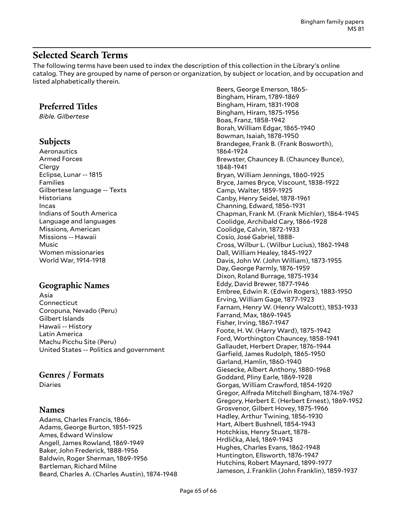### <span id="page-64-0"></span>**Selected Search Terms**

The following terms have been used to index the description of this collection in the Library's online catalog. They are grouped by name of person or organization, by subject or location, and by occupation and listed alphabetically therein.

### **Preferred Titles**

*Bible. Gilbertese*

### **Subjects**

Aeronautics Armed Forces **Clergy** Eclipse, Lunar -- 1815 Families Gilbertese language -- Texts **Historians** Incas Indians of South America Language and languages Missions, American Missions -- Hawaii Music Women missionaries World War, 1914-1918

### **Geographic Names**

Asia Connecticut Coropuna, Nevado (Peru) Gilbert Islands Hawaii -- History Latin America Machu Picchu Site (Peru) United States -- Politics and government

### **Genres / Formats**

Diaries

### **Names**

Adams, Charles Francis, 1866- Adams, George Burton, 1851-1925 Ames, Edward Winslow Angell, James Rowland, 1869-1949 Baker, John Frederick, 1888-1956 Baldwin, Roger Sherman, 1869-1956 Bartleman, Richard Milne Beard, Charles A. (Charles Austin), 1874-1948

Beers, George Emerson, 1865- Bingham, Hiram, 1789-1869 Bingham, Hiram, 1831-1908 Bingham, Hiram, 1875-1956 Boas, Franz, 1858-1942 Borah, William Edgar, 1865-1940 Bowman, Isaiah, 1878-1950 Brandegee, Frank B. (Frank Bosworth), 1864-1924 Brewster, Chauncey B. (Chauncey Bunce), 1848-1941 Bryan, William Jennings, 1860-1925 Bryce, James Bryce, Viscount, 1838-1922 Camp, Walter, 1859-1925 Canby, Henry Seidel, 1878-1961 Channing, Edward, 1856-1931 Chapman, Frank M. (Frank Michler), 1864-1945 Coolidge, Archibald Cary, 1866-1928 Coolidge, Calvin, 1872-1933 Cosı́o, José Gabriel, 1888- Cross, Wilbur L. (Wilbur Lucius), 1862-1948 Dall, William Healey, 1845-1927 Davis, John W. (John William), 1873-1955 Day, George Parmly, 1876-1959 Dixon, Roland Burrage, 1875-1934 Eddy, David Brewer, 1877-1946 Embree, Edwin R. (Edwin Rogers), 1883-1950 Erving, William Gage, 1877-1923 Farnam, Henry W. (Henry Walcott), 1853-1933 Farrand, Max, 1869-1945 Fisher, Irving, 1867-1947 Foote, H. W. (Harry Ward), 1875-1942 Ford, Worthington Chauncey, 1858-1941 Gallaudet, Herbert Draper, 1876-1944 Garfield, James Rudolph, 1865-1950 Garland, Hamlin, 1860-1940 Giesecke, Albert Anthony, 1880-1968 Goddard, Pliny Earle, 1869-1928 Gorgas, William Crawford, 1854-1920 Gregor, Alfreda Mitchell Bingham, 1874-1967 Gregory, Herbert E. (Herbert Ernest), 1869-1952 Grosvenor, Gilbert Hovey, 1875-1966 Hadley, Arthur Twining, 1856-1930 Hart, Albert Bushnell, 1854-1943 Hotchkiss, Henry Stuart, 1878- Hrdlička, Aleš, 1869-1943 Hughes, Charles Evans, 1862-1948 Huntington, Ellsworth, 1876-1947 Hutchins, Robert Maynard, 1899-1977 Jameson, J. Franklin (John Franklin), 1859-1937